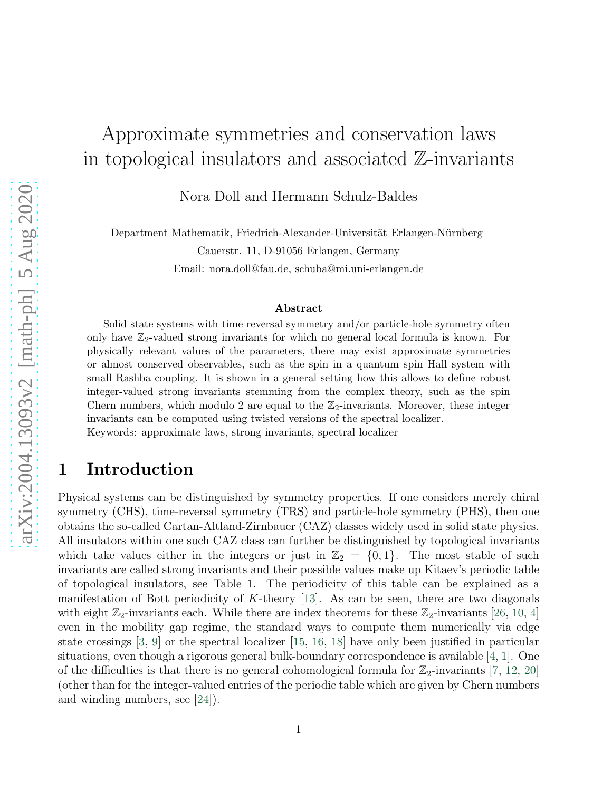# Approximate symmetries and conservation laws in topological insulators and associated  $\mathbb{Z}$ -invariants

Nora Doll and Hermann Schulz-Baldes

Department Mathematik, Friedrich-Alexander-Universität Erlangen-Nürnberg Cauerstr. 11, D-91056 Erlangen, Germany Email: nora.doll@fau.de, schuba@mi.uni-erlangen.de

#### Abstract

Solid state systems with time reversal symmetry and/or particle-hole symmetry often only have  $\mathbb{Z}_2$ -valued strong invariants for which no general local formula is known. For physically relevant values of the parameters, there may exist approximate symmetries or almost conserved observables, such as the spin in a quantum spin Hall system with small Rashba coupling. It is shown in a general setting how this allows to define robust integer-valued strong invariants stemming from the complex theory, such as the spin Chern numbers, which modulo 2 are equal to the  $\mathbb{Z}_2$ -invariants. Moreover, these integer invariants can be computed using twisted versions of the spectral localizer. Keywords: approximate laws, strong invariants, spectral localizer

### <span id="page-0-0"></span>1 Introduction

Physical systems can be distinguished by symmetry properties. If one considers merely chiral symmetry (CHS), time-reversal symmetry (TRS) and particle-hole symmetry (PHS), then one obtains the so-called Cartan-Altland-Zirnbauer (CAZ) classes widely used in solid state physics. All insulators within one such CAZ class can further be distinguished by topological invariants which take values either in the integers or just in  $\mathbb{Z}_2 = \{0,1\}$ . The most stable of such invariants are called strong invariants and their possible values make up Kitaev's periodic table of topological insulators, see Table 1. The periodicity of this table can be explained as a manifestation of Bott periodicity of  $K$ -theory [\[13\]](#page-31-0). As can be seen, there are two diagonals with eight  $\mathbb{Z}_2$ -invariants each. While there are index theorems for these  $\mathbb{Z}_2$ -invariants [\[26,](#page-32-0) [10,](#page-31-1) [4\]](#page-30-0) even in the mobility gap regime, the standard ways to compute them numerically via edge state crossings [\[3,](#page-30-1) [9\]](#page-31-2) or the spectral localizer [\[15,](#page-31-3) [16,](#page-31-4) [18\]](#page-31-5) have only been justified in particular situations, even though a rigorous general bulk-boundary correspondence is available [\[4,](#page-30-0) [1\]](#page-30-2). One of the difficulties is that there is no general cohomological formula for  $\mathbb{Z}_2$ -invariants [\[7,](#page-30-3) [12,](#page-31-6) [20\]](#page-31-7) (other than for the integer-valued entries of the periodic table which are given by Chern numbers and winding numbers, see [\[24\]](#page-32-1)).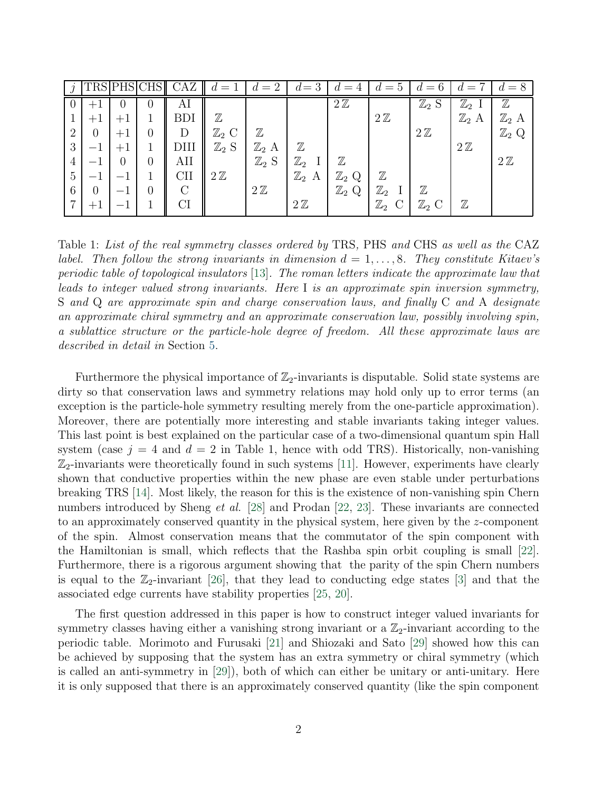|                |                |      | CHS      | CAZ        | $=$ 1            | $d=2$            | $d=3$               | $=4$<br>đ.       | $\ddot{c} =$<br>đ. | $=6$             | $=$ $\overline{ }$ |                  |
|----------------|----------------|------|----------|------------|------------------|------------------|---------------------|------------------|--------------------|------------------|--------------------|------------------|
|                |                |      | U        | Al         |                  |                  |                     | $2\mathbb{Z}$    |                    | $\mathbb{Z}_2$ S | $\mathbb{Z}_2$     | $\mathbb Z$      |
|                |                |      |          | BDI        | $\mathbb Z$      |                  |                     |                  | $2\mathbb{Z}$      |                  | $\mathbb{Z}_2$ A   | $\mathbb{Z}_2$   |
| $\overline{2}$ | $\overline{0}$ | $+1$ |          | D          | $\mathbb{Z}_2$ C | $\mathbb Z$      |                     |                  |                    | $2\mathbb{Z}$    |                    | $\mathbb{Z}_2$ Q |
| 3              |                |      |          | DIII       | $\mathbb{Z}_2$ S | $\mathbb{Z}_2$ A | $\mathbb Z$         |                  |                    |                  | $2\mathbb{Z}$      |                  |
|                |                | O    | $\Omega$ | AII        |                  | $\mathbb{Z}_2$ S | $\mathbb{Z}_2$      | $\mathbb Z$      |                    |                  |                    | $2\mathbb{Z}$    |
| 5              |                |      |          | <b>CII</b> | $2\mathbb{Z}$    |                  | $\mathbb{Z}_2$<br>А | $\mathbb{Z}_2$ Q | $\mathbb Z$        |                  |                    |                  |
| 6              | $\theta$       |      |          | $\bigcap$  |                  | $2\mathbb{Z}$    |                     | $\mathbb{Z}_2$ Q | $\mathbb{Z}_2$     | $\mathbb Z$      |                    |                  |
| $\overline{ }$ | $+1$           |      |          | CI         |                  |                  | $2\mathbb{Z}$       |                  | $\mathbb{Z}_2$     | $\mathbb{Z}_2$ C | $\mathbb Z$        |                  |

Table 1: List of the real symmetry classes ordered by TRS, PHS and CHS as well as the CAZ label. Then follow the strong invariants in dimension  $d = 1, \ldots, 8$ . They constitute Kitaev's periodic table of topological insulators [\[13\]](#page-31-0). The roman letters indicate the approximate law that leads to integer valued strong invariants. Here I is an approximate spin inversion symmetry, S and Q are approximate spin and charge conservation laws, and finally C and A designate an approximate chiral symmetry and an approximate conservation law, possibly involving spin, a sublattice structure or the particle-hole degree of freedom. All these approximate laws are described in detail in Section [5.](#page-16-0)

Furthermore the physical importance of  $\mathbb{Z}_2$ -invariants is disputable. Solid state systems are dirty so that conservation laws and symmetry relations may hold only up to error terms (an exception is the particle-hole symmetry resulting merely from the one-particle approximation). Moreover, there are potentially more interesting and stable invariants taking integer values. This last point is best explained on the particular case of a two-dimensional quantum spin Hall system (case  $j = 4$  and  $d = 2$  in Table 1, hence with odd TRS). Historically, non-vanishing  $\mathbb{Z}_2$ -invariants were theoretically found in such systems [\[11\]](#page-31-8). However, experiments have clearly shown that conductive properties within the new phase are even stable under perturbations breaking TRS [\[14\]](#page-31-9). Most likely, the reason for this is the existence of non-vanishing spin Chern numbers introduced by Sheng et al. [\[28\]](#page-32-2) and Prodan [\[22,](#page-31-10) [23\]](#page-31-11). These invariants are connected to an approximately conserved quantity in the physical system, here given by the z-component of the spin. Almost conservation means that the commutator of the spin component with the Hamiltonian is small, which reflects that the Rashba spin orbit coupling is small [\[22\]](#page-31-10). Furthermore, there is a rigorous argument showing that the parity of the spin Chern numbers is equal to the  $\mathbb{Z}_2$ -invariant [\[26\]](#page-32-0), that they lead to conducting edge states [\[3\]](#page-30-1) and that the associated edge currents have stability properties [\[25,](#page-32-3) [20\]](#page-31-7).

The first question addressed in this paper is how to construct integer valued invariants for symmetry classes having either a vanishing strong invariant or a  $\mathbb{Z}_2$ -invariant according to the periodic table. Morimoto and Furusaki [\[21\]](#page-31-12) and Shiozaki and Sato [\[29\]](#page-32-4) showed how this can be achieved by supposing that the system has an extra symmetry or chiral symmetry (which is called an anti-symmetry in [\[29\]](#page-32-4)), both of which can either be unitary or anti-unitary. Here it is only supposed that there is an approximately conserved quantity (like the spin component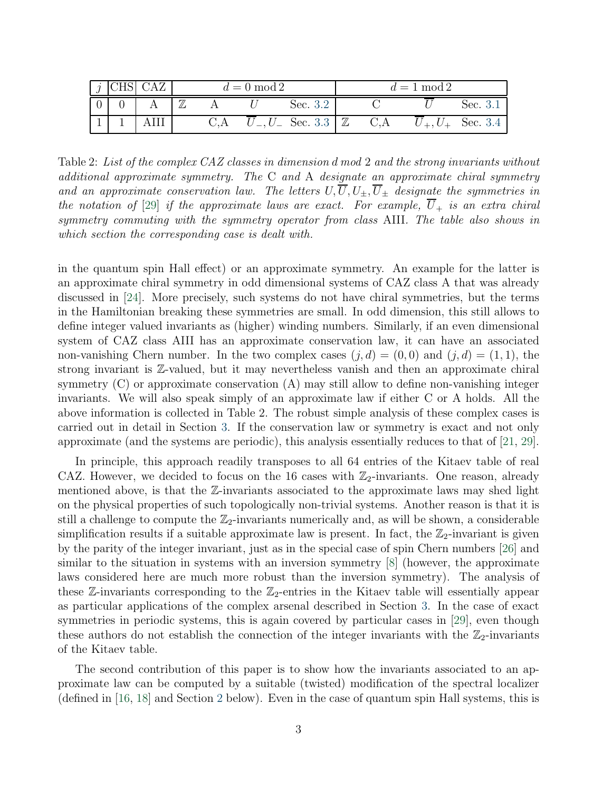|  |             | $d=0 \mod 2$ |              |     | $d=1 \mod 2$       |          |
|--|-------------|--------------|--------------|-----|--------------------|----------|
|  | $\mathbb Z$ |              | Sec. 3.2     |     |                    | Sec. 3.1 |
|  |             |              | $L$ Sec. 3.3 | C.A | $U_{\pm}, U_{\pm}$ | Sec. 3.4 |

<span id="page-2-0"></span>Table 2: List of the complex CAZ classes in dimension d mod 2 and the strong invariants without additional approximate symmetry. The C and A designate an approximate chiral symmetry and an approximate conservation law. The letters  $U, \overline{U}, U_{\pm}, \overline{U}_{\pm}$  designate the symmetries in the notation of [\[29\]](#page-32-4) if the approximate laws are exact. For example,  $\overline{U}_+$  is an extra chiral symmetry commuting with the symmetry operator from class AIII. The table also shows in which section the corresponding case is dealt with.

in the quantum spin Hall effect) or an approximate symmetry. An example for the latter is an approximate chiral symmetry in odd dimensional systems of CAZ class A that was already discussed in [\[24\]](#page-32-1). More precisely, such systems do not have chiral symmetries, but the terms in the Hamiltonian breaking these symmetries are small. In odd dimension, this still allows to define integer valued invariants as (higher) winding numbers. Similarly, if an even dimensional system of CAZ class AIII has an approximate conservation law, it can have an associated non-vanishing Chern number. In the two complex cases  $(j, d) = (0, 0)$  and  $(j, d) = (1, 1)$ , the strong invariant is Z-valued, but it may nevertheless vanish and then an approximate chiral symmetry (C) or approximate conservation (A) may still allow to define non-vanishing integer invariants. We will also speak simply of an approximate law if either C or A holds. All the above information is collected in Table 2. The robust simple analysis of these complex cases is carried out in detail in Section [3.](#page-7-0) If the conservation law or symmetry is exact and not only approximate (and the systems are periodic), this analysis essentially reduces to that of [\[21,](#page-31-12) [29\]](#page-32-4).

In principle, this approach readily transposes to all 64 entries of the Kitaev table of real CAZ. However, we decided to focus on the 16 cases with  $\mathbb{Z}_2$ -invariants. One reason, already mentioned above, is that the Z-invariants associated to the approximate laws may shed light on the physical properties of such topologically non-trivial systems. Another reason is that it is still a challenge to compute the  $\mathbb{Z}_2$ -invariants numerically and, as will be shown, a considerable simplification results if a suitable approximate law is present. In fact, the  $\mathbb{Z}_2$ -invariant is given by the parity of the integer invariant, just as in the special case of spin Chern numbers [\[26\]](#page-32-0) and similar to the situation in systems with an inversion symmetry [\[8\]](#page-31-13) (however, the approximate laws considered here are much more robust than the inversion symmetry). The analysis of these  $\mathbb{Z}$ -invariants corresponding to the  $\mathbb{Z}_2$ -entries in the Kitaev table will essentially appear as particular applications of the complex arsenal described in Section [3.](#page-7-0) In the case of exact symmetries in periodic systems, this is again covered by particular cases in [\[29\]](#page-32-4), even though these authors do not establish the connection of the integer invariants with the  $\mathbb{Z}_2$ -invariants of the Kitaev table.

The second contribution of this paper is to show how the invariants associated to an approximate law can be computed by a suitable (twisted) modification of the spectral localizer (defined in [\[16,](#page-31-4) [18\]](#page-31-5) and Section [2](#page-3-0) below). Even in the case of quantum spin Hall systems, this is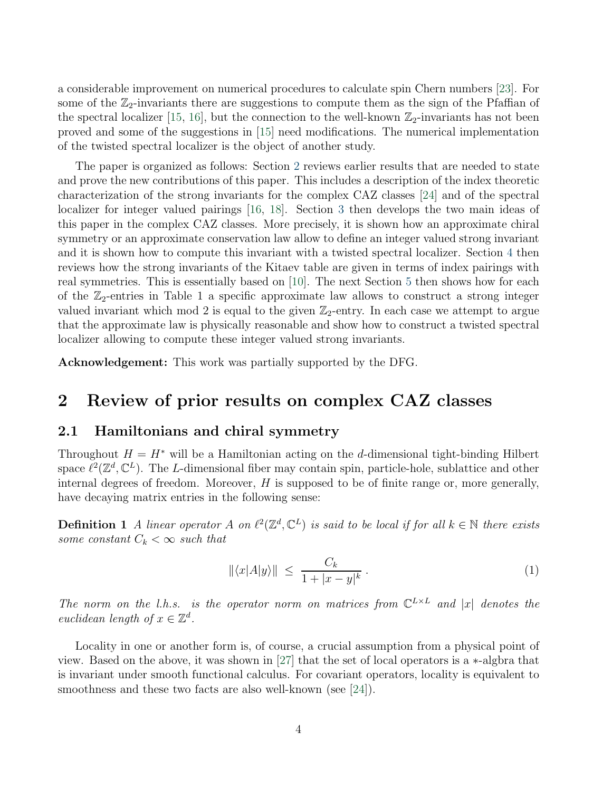a considerable improvement on numerical procedures to calculate spin Chern numbers [\[23\]](#page-31-11). For some of the  $\mathbb{Z}_2$ -invariants there are suggestions to compute them as the sign of the Pfaffian of the spectral localizer [\[15,](#page-31-3) [16\]](#page-31-4), but the connection to the well-known  $\mathbb{Z}_2$ -invariants has not been proved and some of the suggestions in [\[15\]](#page-31-3) need modifications. The numerical implementation of the twisted spectral localizer is the object of another study.

The paper is organized as follows: Section [2](#page-3-0) reviews earlier results that are needed to state and prove the new contributions of this paper. This includes a description of the index theoretic characterization of the strong invariants for the complex CAZ classes [\[24\]](#page-32-1) and of the spectral localizer for integer valued pairings [\[16,](#page-31-4) [18\]](#page-31-5). Section [3](#page-7-0) then develops the two main ideas of this paper in the complex CAZ classes. More precisely, it is shown how an approximate chiral symmetry or an approximate conservation law allow to define an integer valued strong invariant and it is shown how to compute this invariant with a twisted spectral localizer. Section [4](#page-13-0) then reviews how the strong invariants of the Kitaev table are given in terms of index pairings with real symmetries. This is essentially based on [\[10\]](#page-31-1). The next Section [5](#page-16-0) then shows how for each of the  $\mathbb{Z}_2$ -entries in Table 1 a specific approximate law allows to construct a strong integer valued invariant which mod 2 is equal to the given  $\mathbb{Z}_2$ -entry. In each case we attempt to argue that the approximate law is physically reasonable and show how to construct a twisted spectral localizer allowing to compute these integer valued strong invariants.

<span id="page-3-0"></span>Acknowledgement: This work was partially supported by the DFG.

### <span id="page-3-1"></span>2 Review of prior results on complex CAZ classes

#### 2.1 Hamiltonians and chiral symmetry

Throughout  $H = H^*$  will be a Hamiltonian acting on the d-dimensional tight-binding Hilbert space  $\ell^2(\mathbb{Z}^d,\mathbb{C}^L)$ . The L-dimensional fiber may contain spin, particle-hole, sublattice and other internal degrees of freedom. Moreover,  $H$  is supposed to be of finite range or, more generally, have decaying matrix entries in the following sense:

**Definition 1** A linear operator A on  $\ell^2(\mathbb{Z}^d, \mathbb{C}^L)$  is said to be local if for all  $k \in \mathbb{N}$  there exists some constant  $C_k < \infty$  such that

<span id="page-3-2"></span>
$$
\|\langle x|A|y\rangle\| \le \frac{C_k}{1+|x-y|^k} \,. \tag{1}
$$

The norm on the l.h.s. is the operator norm on matrices from  $\mathbb{C}^{L\times L}$  and |x| denotes the euclidean length of  $x \in \mathbb{Z}^d$ .

Locality in one or another form is, of course, a crucial assumption from a physical point of view. Based on the above, it was shown in [\[27\]](#page-32-5) that the set of local operators is a ∗-algbra that is invariant under smooth functional calculus. For covariant operators, locality is equivalent to smoothness and these two facts are also well-known (see [\[24\]](#page-32-1)).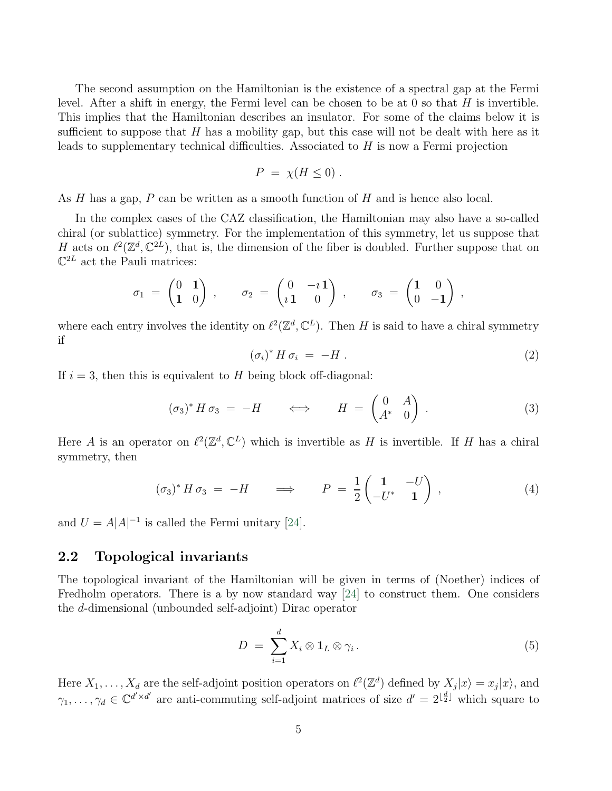The second assumption on the Hamiltonian is the existence of a spectral gap at the Fermi level. After a shift in energy, the Fermi level can be chosen to be at  $0$  so that  $H$  is invertible. This implies that the Hamiltonian describes an insulator. For some of the claims below it is sufficient to suppose that  $H$  has a mobility gap, but this case will not be dealt with here as it leads to supplementary technical difficulties. Associated to  $H$  is now a Fermi projection

$$
P = \chi(H \le 0) \ .
$$

As H has a gap, P can be written as a smooth function of H and is hence also local.

In the complex cases of the CAZ classification, the Hamiltonian may also have a so-called chiral (or sublattice) symmetry. For the implementation of this symmetry, let us suppose that H acts on  $\ell^2(\mathbb{Z}^d,\mathbb{C}^{2L})$ , that is, the dimension of the fiber is doubled. Further suppose that on  $\mathbb{C}^{2L}$  act the Pauli matrices:

$$
\sigma_1\;=\; \begin{pmatrix}0&\textbf{1}\\ \textbf{1}&0\end{pmatrix}\;,\qquad \sigma_2\;=\; \begin{pmatrix}0&- \imath\,\textbf{1}\\ \imath\,\textbf{1}&0\end{pmatrix}\;,\qquad \sigma_3\;=\; \begin{pmatrix}\textbf{1}&0\\ 0&-\textbf{1}\end{pmatrix}\;,
$$

where each entry involves the identity on  $\ell^2(\mathbb{Z}^d, \mathbb{C}^L)$ . Then H is said to have a chiral symmetry if

<span id="page-4-3"></span>
$$
(\sigma_i)^* H \sigma_i = -H . \tag{2}
$$

If  $i = 3$ , then this is equivalent to H being block off-diagonal:

<span id="page-4-2"></span>
$$
(\sigma_3)^* H \sigma_3 = -H \qquad \Longleftrightarrow \qquad H = \begin{pmatrix} 0 & A \\ A^* & 0 \end{pmatrix} . \tag{3}
$$

Here A is an operator on  $\ell^2(\mathbb{Z}^d, \mathbb{C}^L)$  which is invertible as H is invertible. If H has a chiral symmetry, then

$$
(\sigma_3)^* H \sigma_3 = -H \qquad \Longrightarrow \qquad P = \frac{1}{2} \begin{pmatrix} 1 & -U \\ -U^* & 1 \end{pmatrix} , \tag{4}
$$

and  $U = A|A|^{-1}$  is called the Fermi unitary [\[24\]](#page-32-1).

#### <span id="page-4-1"></span>2.2 Topological invariants

The topological invariant of the Hamiltonian will be given in terms of (Noether) indices of Fredholm operators. There is a by now standard way [\[24\]](#page-32-1) to construct them. One considers the d-dimensional (unbounded self-adjoint) Dirac operator

<span id="page-4-0"></span>
$$
D = \sum_{i=1}^{d} X_i \otimes \mathbf{1}_L \otimes \gamma_i.
$$
 (5)

Here  $X_1, \ldots, X_d$  are the self-adjoint position operators on  $\ell^2(\mathbb{Z}^d)$  defined by  $X_j|x\rangle = x_j|x\rangle$ , and  $\gamma_1,\ldots,\gamma_d\in\mathbb{C}^{d'\times d'}$  are anti-commuting self-adjoint matrices of size  $d'=2^{\lfloor\frac{d}{2}\rfloor}$  which square to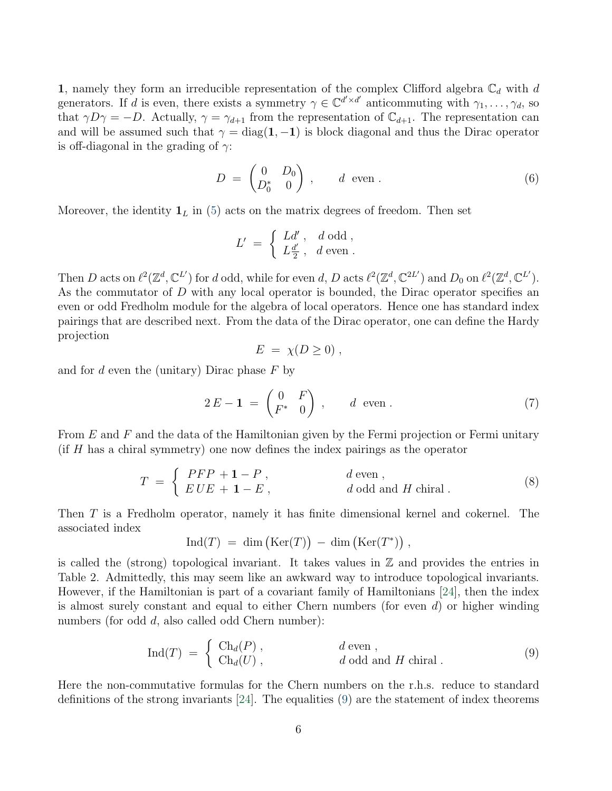1, namely they form an irreducible representation of the complex Clifford algebra  $\mathbb{C}_d$  with d generators. If d is even, there exists a symmetry  $\gamma \in \mathbb{C}^{d' \times d'}$  anticommuting with  $\gamma_1, \ldots, \gamma_d$ , so that  $\gamma D\gamma = -D$ . Actually,  $\gamma = \gamma_{d+1}$  from the representation of  $\mathbb{C}_{d+1}$ . The representation can and will be assumed such that  $\gamma = \text{diag}(1, -1)$  is block diagonal and thus the Dirac operator is off-diagonal in the grading of  $\gamma$ :

<span id="page-5-2"></span>
$$
D = \begin{pmatrix} 0 & D_0 \\ D_0^* & 0 \end{pmatrix}, \qquad d \text{ even }.
$$
 (6)

Moreover, the identity  $\mathbf{1}_L$  in [\(5\)](#page-4-0) acts on the matrix degrees of freedom. Then set

$$
L' = \begin{cases} Ld', & d \text{ odd }, \\ L\frac{d'}{2}, & d \text{ even } . \end{cases}
$$

Then D acts on  $\ell^2(\mathbb{Z}^d, \mathbb{C}^{L'})$  for d odd, while for even d, D acts  $\ell^2(\mathbb{Z}^d, \mathbb{C}^{2L'})$  and  $D_0$  on  $\ell^2(\mathbb{Z}^d, \mathbb{C}^{L'})$ . As the commutator of D with any local operator is bounded, the Dirac operator specifies an even or odd Fredholm module for the algebra of local operators. Hence one has standard index pairings that are described next. From the data of the Dirac operator, one can define the Hardy projection

$$
E = \chi(D \ge 0) ,
$$

and for  $d$  even the (unitary) Dirac phase  $F$  by

<span id="page-5-3"></span>
$$
2E - \mathbf{1} = \begin{pmatrix} 0 & F \\ F^* & 0 \end{pmatrix}, \qquad d \text{ even }.
$$
 (7)

From  $E$  and  $F$  and the data of the Hamiltonian given by the Fermi projection or Fermi unitary (if H has a chiral symmetry) one now defines the index pairings as the operator

<span id="page-5-1"></span>
$$
T = \begin{cases} PFP + 1 - P, & d \text{ even}, \\ EUE + 1 - E, & d \text{ odd and } H \text{ chiral}. \end{cases}
$$
 (8)

Then T is a Fredholm operator, namely it has finite dimensional kernel and cokernel. The associated index

$$
Ind(T) = dim (Ker(T)) - dim (Ker(T^*)) ,
$$

is called the (strong) topological invariant. It takes values in  $\mathbb Z$  and provides the entries in Table 2. Admittedly, this may seem like an awkward way to introduce topological invariants. However, if the Hamiltonian is part of a covariant family of Hamiltonians [\[24\]](#page-32-1), then the index is almost surely constant and equal to either Chern numbers (for even  $d$ ) or higher winding numbers (for odd d, also called odd Chern number):

<span id="page-5-0"></span>
$$
\text{Ind}(T) = \begin{cases} \text{Ch}_d(P) , & d \text{ even } , \\ \text{Ch}_d(U) , & d \text{ odd and } H \text{ chiral } . \end{cases} (9)
$$

Here the non-commutative formulas for the Chern numbers on the r.h.s. reduce to standard definitions of the strong invariants  $[24]$ . The equalities  $(9)$  are the statement of index theorems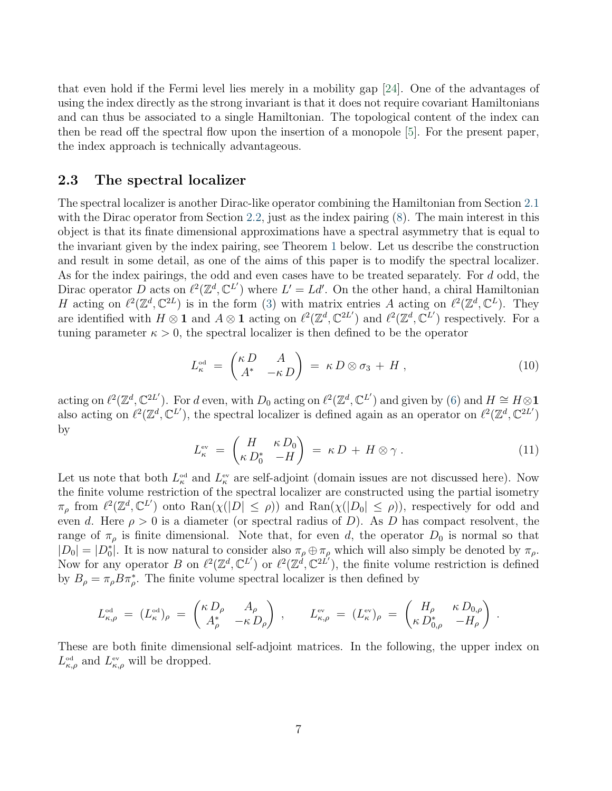that even hold if the Fermi level lies merely in a mobility gap [\[24\]](#page-32-1). One of the advantages of using the index directly as the strong invariant is that it does not require covariant Hamiltonians and can thus be associated to a single Hamiltonian. The topological content of the index can then be read off the spectral flow upon the insertion of a monopole [\[5\]](#page-30-4). For the present paper, the index approach is technically advantageous.

#### <span id="page-6-2"></span>2.3 The spectral localizer

The spectral localizer is another Dirac-like operator combining the Hamiltonian from Section [2.1](#page-3-1) with the Dirac operator from Section [2.2,](#page-4-1) just as the index pairing [\(8\)](#page-5-1). The main interest in this object is that its finate dimensional approximations have a spectral asymmetry that is equal to the invariant given by the index pairing, see Theorem [1](#page-6-0) below. Let us describe the construction and result in some detail, as one of the aims of this paper is to modify the spectral localizer. As for the index pairings, the odd and even cases have to be treated separately. For d odd, the Dirac operator D acts on  $\ell^2(\mathbb{Z}^d, \mathbb{C}^{L'})$  where  $L' = Ld'$ . On the other hand, a chiral Hamiltonian H acting on  $\ell^2(\mathbb{Z}^d,\mathbb{C}^{2L})$  is in the form [\(3\)](#page-4-2) with matrix entries A acting on  $\ell^2(\mathbb{Z}^d,\mathbb{C}^L)$ . They are identified with  $H \otimes \mathbf{1}$  and  $A \otimes \mathbf{1}$  acting on  $\ell^2(\mathbb{Z}^d, \mathbb{C}^{2L'})$  and  $\ell^2(\mathbb{Z}^d, \mathbb{C}^{L'})$  respectively. For a tuning parameter  $\kappa > 0$ , the spectral localizer is then defined to be the operator

<span id="page-6-1"></span>
$$
L_{\kappa}^{\circ d} = \begin{pmatrix} \kappa D & A \\ A^* & -\kappa D \end{pmatrix} = \kappa D \otimes \sigma_3 + H , \qquad (10)
$$

acting on  $\ell^2(\mathbb{Z}^d, \mathbb{C}^{2L'})$ . For d even, with  $D_0$  acting on  $\ell^2(\mathbb{Z}^d, \mathbb{C}^{L'})$  and given by [\(6\)](#page-5-2) and  $H \cong H \otimes \mathbf{1}$ also acting on  $\ell^2(\mathbb{Z}^d, \mathbb{C}^{L'})$ , the spectral localizer is defined again as an operator on  $\ell^2(\mathbb{Z}^d, \mathbb{C}^{2L'})$ by

<span id="page-6-3"></span>
$$
L_{\kappa}^{\text{ev}} = \begin{pmatrix} H & \kappa \, D_0 \\ \kappa \, D_0^* & -H \end{pmatrix} = \kappa \, D + H \otimes \gamma \,. \tag{11}
$$

Let us note that both  $L_{\kappa}^{\text{od}}$  and  $L_{\kappa}^{\text{ev}}$  are self-adjoint (domain issues are not discussed here). Now the finite volume restriction of the spectral localizer are constructed using the partial isometry  $\pi_{\rho}$  from  $\ell^2(\mathbb{Z}^d, \mathbb{C}^{L'})$  onto  $\text{Ran}(\chi(|D| \le \rho))$  and  $\text{Ran}(\chi(|D_0| \le \rho))$ , respectively for odd and even d. Here  $\rho > 0$  is a diameter (or spectral radius of D). As D has compact resolvent, the range of  $\pi_{\rho}$  is finite dimensional. Note that, for even d, the operator  $D_0$  is normal so that  $|D_0| = |D_0^*|$ . It is now natural to consider also  $\pi_\rho \oplus \pi_\rho$  which will also simply be denoted by  $\pi_\rho$ . Now for any operator B on  $\ell^2(\mathbb{Z}^d, \mathbb{C}^{L'})$  or  $\ell^2(\mathbb{Z}^d, \mathbb{C}^{2L'})$ , the finite volume restriction is defined by  $B_{\rho} = \pi_{\rho} B \pi_{\rho}^{*}$ . The finite volume spectral localizer is then defined by

$$
L_{\kappa,\rho}^{\circ \text{\tiny cl}} \ = \ (L_{\kappa}^{\circ \text{\tiny cl}})_\rho \ = \ \begin{pmatrix} \kappa \, D_\rho & A_\rho \\ A_\rho^* & -\kappa \, D_\rho \end{pmatrix} \ , \qquad L_{\kappa,\rho}^{\text{\tiny ev}} \ = \ (L_{\kappa}^{\text{\tiny ev}})_\rho \ = \ \begin{pmatrix} H_\rho & \kappa \, D_{0,\rho} \\ \kappa \, D_{0,\rho}^* & -H_\rho \end{pmatrix} \ .
$$

<span id="page-6-0"></span>These are both finite dimensional self-adjoint matrices. In the following, the upper index on  $L_{\kappa,\rho}^{\text{od}}$  and  $L_{\kappa,\rho}^{\text{ev}}$  will be dropped.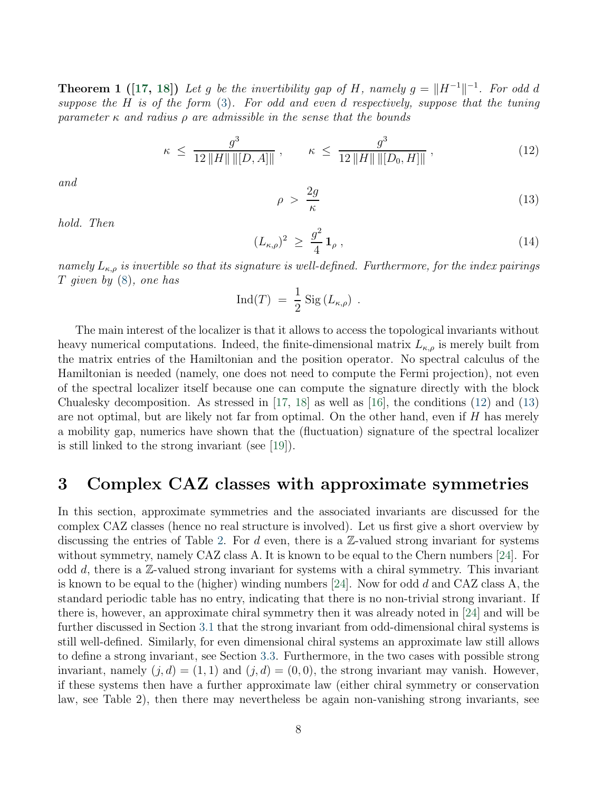**Theorem 1** ([\[17,](#page-31-14) [18\]](#page-31-5)) Let g be the invertibility gap of H, namely  $g = ||H^{-1}||^{-1}$ . For odd d suppose the H is of the form [\(3\)](#page-4-2). For odd and even d respectively, suppose that the tuning parameter  $\kappa$  and radius  $\rho$  are admissible in the sense that the bounds

<span id="page-7-1"></span>
$$
\kappa \le \frac{g^3}{12\|H\| \| [D, A] \|} \,, \qquad \kappa \le \frac{g^3}{12\|H\| \| [D_0, H] \|} \,, \tag{12}
$$

and

<span id="page-7-2"></span>
$$
\rho > \frac{2g}{\kappa} \tag{13}
$$

hold. Then

$$
(L_{\kappa,\rho})^2 \ge \frac{g^2}{4} \mathbf{1}_{\rho} \,, \tag{14}
$$

namely  $L_{\kappa,\rho}$  is invertible so that its signature is well-defined. Furthermore, for the index pairings  $T$  given by  $(8)$ , one has

$$
\text{Ind}(T) = \frac{1}{2} \text{ Sig}(L_{\kappa,\rho}) .
$$

The main interest of the localizer is that it allows to access the topological invariants without heavy numerical computations. Indeed, the finite-dimensional matrix  $L_{\kappa,\rho}$  is merely built from the matrix entries of the Hamiltonian and the position operator. No spectral calculus of the Hamiltonian is needed (namely, one does not need to compute the Fermi projection), not even of the spectral localizer itself because one can compute the signature directly with the block Chualesky decomposition. As stressed in [\[17,](#page-31-14) [18\]](#page-31-5) as well as [\[16\]](#page-31-4), the conditions [\(12\)](#page-7-1) and [\(13\)](#page-7-2) are not optimal, but are likely not far from optimal. On the other hand, even if H has merely a mobility gap, numerics have shown that the (fluctuation) signature of the spectral localizer is still linked to the strong invariant (see [\[19\]](#page-31-15)).

### <span id="page-7-0"></span>3 Complex CAZ classes with approximate symmetries

In this section, approximate symmetries and the associated invariants are discussed for the complex CAZ classes (hence no real structure is involved). Let us first give a short overview by discussing the entries of Table [2.](#page-2-0) For d even, there is a  $\mathbb{Z}$ -valued strong invariant for systems without symmetry, namely CAZ class A. It is known to be equal to the Chern numbers [\[24\]](#page-32-1). For odd  $d$ , there is a  $\mathbb{Z}$ -valued strong invariant for systems with a chiral symmetry. This invariant is known to be equal to the (higher) winding numbers  $[24]$ . Now for odd d and CAZ class A, the standard periodic table has no entry, indicating that there is no non-trivial strong invariant. If there is, however, an approximate chiral symmetry then it was already noted in [\[24\]](#page-32-1) and will be further discussed in Section [3.1](#page-8-0) that the strong invariant from odd-dimensional chiral systems is still well-defined. Similarly, for even dimensional chiral systems an approximate law still allows to define a strong invariant, see Section [3.3.](#page-11-0) Furthermore, in the two cases with possible strong invariant, namely  $(j, d) = (1, 1)$  and  $(j, d) = (0, 0)$ , the strong invariant may vanish. However, if these systems then have a further approximate law (either chiral symmetry or conservation law, see Table 2), then there may nevertheless be again non-vanishing strong invariants, see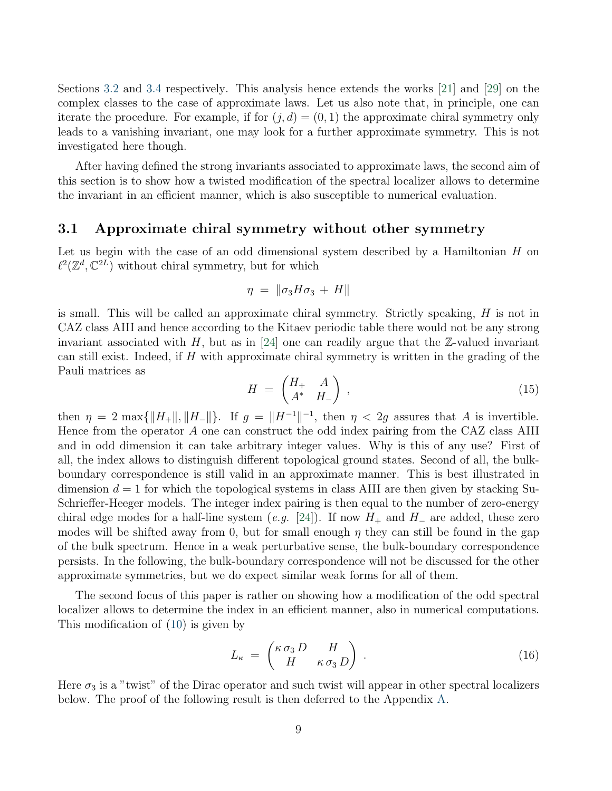Sections [3.2](#page-9-0) and [3.4](#page-12-0) respectively. This analysis hence extends the works [\[21\]](#page-31-12) and [\[29\]](#page-32-4) on the complex classes to the case of approximate laws. Let us also note that, in principle, one can iterate the procedure. For example, if for  $(j, d) = (0, 1)$  the approximate chiral symmetry only leads to a vanishing invariant, one may look for a further approximate symmetry. This is not investigated here though.

After having defined the strong invariants associated to approximate laws, the second aim of this section is to show how a twisted modification of the spectral localizer allows to determine the invariant in an efficient manner, which is also susceptible to numerical evaluation.

#### <span id="page-8-0"></span>3.1 Approximate chiral symmetry without other symmetry

Let us begin with the case of an odd dimensional system described by a Hamiltonian  $H$  on  $\ell^2(\mathbb{Z}^d,\mathbb{C}^{2L})$  without chiral symmetry, but for which

$$
\eta = \|\sigma_3 H \sigma_3 + H\|
$$

is small. This will be called an approximate chiral symmetry. Strictly speaking, H is not in CAZ class AIII and hence according to the Kitaev periodic table there would not be any strong invariant associated with  $H$ , but as in [\[24\]](#page-32-1) one can readily argue that the Z-valued invariant can still exist. Indeed, if  $H$  with approximate chiral symmetry is written in the grading of the Pauli matrices as

<span id="page-8-1"></span>
$$
H = \begin{pmatrix} H_+ & A \\ A^* & H_- \end{pmatrix} , \qquad (15)
$$

then  $\eta = 2 \max\{\|H_+\|, \|H_-\|\}.$  If  $g = \|H^{-1}\|^{-1}$ , then  $\eta < 2g$  assures that A is invertible. Hence from the operator A one can construct the odd index pairing from the CAZ class AIII and in odd dimension it can take arbitrary integer values. Why is this of any use? First of all, the index allows to distinguish different topological ground states. Second of all, the bulkboundary correspondence is still valid in an approximate manner. This is best illustrated in dimension  $d = 1$  for which the topological systems in class AIII are then given by stacking Su-Schrieffer-Heeger models. The integer index pairing is then equal to the number of zero-energy chiral edge modes for a half-line system (e.g. [\[24\]](#page-32-1)). If now  $H_+$  and  $H_-$  are added, these zero modes will be shifted away from 0, but for small enough  $\eta$  they can still be found in the gap of the bulk spectrum. Hence in a weak perturbative sense, the bulk-boundary correspondence persists. In the following, the bulk-boundary correspondence will not be discussed for the other approximate symmetries, but we do expect similar weak forms for all of them.

The second focus of this paper is rather on showing how a modification of the odd spectral localizer allows to determine the index in an efficient manner, also in numerical computations. This modification of [\(10\)](#page-6-1) is given by

<span id="page-8-2"></span>
$$
L_{\kappa} = \begin{pmatrix} \kappa \sigma_3 D & H \\ H & \kappa \sigma_3 D \end{pmatrix} . \tag{16}
$$

<span id="page-8-3"></span>Here  $\sigma_3$  is a "twist" of the Dirac operator and such twist will appear in other spectral localizers below. The proof of the following result is then deferred to the Appendix [A.](#page-29-0)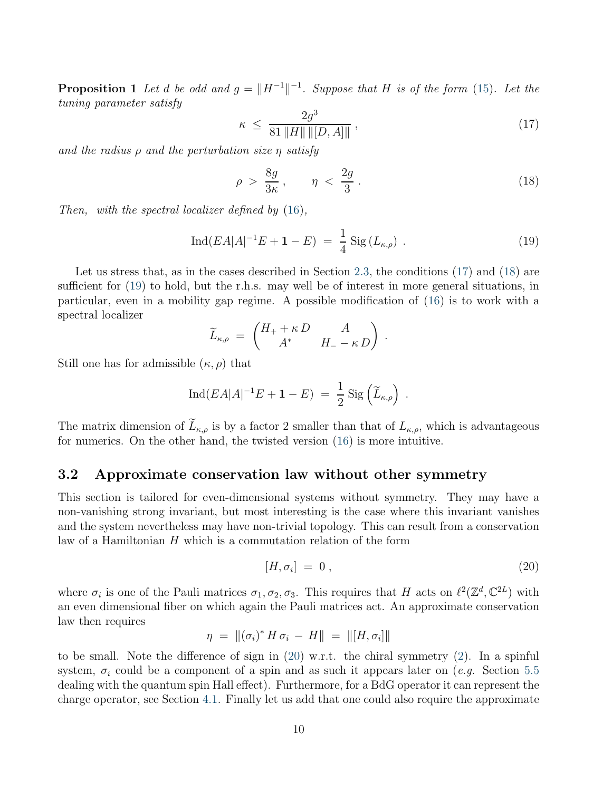**Proposition 1** Let d be odd and  $g = ||H^{-1}||^{-1}$ . Suppose that H is of the form [\(15\)](#page-8-1). Let the tuning parameter satisfy

<span id="page-9-1"></span>
$$
\kappa \le \frac{2g^3}{81\|H\| \| [D, A] \|}, \tag{17}
$$

and the radius  $\rho$  and the perturbation size  $\eta$  satisfy

<span id="page-9-2"></span>
$$
\rho > \frac{8g}{3\kappa}, \qquad \eta < \frac{2g}{3} \,.
$$
\n<sup>(18)</sup>

Then, with the spectral localizer defined by [\(16\)](#page-8-2),

<span id="page-9-3"></span>
$$
\operatorname{Ind}(EA|A|^{-1}E + \mathbf{1} - E) = \frac{1}{4} \operatorname{Sig}(L_{\kappa,\rho}) . \tag{19}
$$

Let us stress that, as in the cases described in Section [2.3,](#page-6-2) the conditions  $(17)$  and  $(18)$  are sufficient for [\(19\)](#page-9-3) to hold, but the r.h.s. may well be of interest in more general situations, in particular, even in a mobility gap regime. A possible modification of [\(16\)](#page-8-2) is to work with a spectral localizer

$$
\widetilde{L}_{\kappa,\rho} = \begin{pmatrix} H_+ + \kappa D & A \\ A^* & H_- - \kappa D \end{pmatrix}.
$$

Still one has for admissible  $(\kappa, \rho)$  that

$$
\operatorname{Ind}(EA|A|^{-1}E + \mathbf{1} - E) = \frac{1}{2} \operatorname{Sig}\left(\widetilde{L}_{\kappa,\rho}\right)
$$

The matrix dimension of  $\widetilde{L}_{\kappa,\rho}$  is by a factor 2 smaller than that of  $L_{\kappa,\rho}$ , which is advantageous for numerics. On the other hand, the twisted version [\(16\)](#page-8-2) is more intuitive.

#### <span id="page-9-0"></span>3.2 Approximate conservation law without other symmetry

This section is tailored for even-dimensional systems without symmetry. They may have a non-vanishing strong invariant, but most interesting is the case where this invariant vanishes and the system nevertheless may have non-trivial topology. This can result from a conservation law of a Hamiltonian  $H$  which is a commutation relation of the form

<span id="page-9-4"></span>
$$
[H, \sigma_i] = 0 \t{,} \t(20)
$$

.

where  $\sigma_i$  is one of the Pauli matrices  $\sigma_1, \sigma_2, \sigma_3$ . This requires that H acts on  $\ell^2(\mathbb{Z}^d, \mathbb{C}^{2L})$  with an even dimensional fiber on which again the Pauli matrices act. An approximate conservation law then requires

$$
\eta = \|(\sigma_i)^* H \sigma_i - H\| = \| [H, \sigma_i] \|
$$

to be small. Note the difference of sign in [\(20\)](#page-9-4) w.r.t. the chiral symmetry [\(2\)](#page-4-3). In a spinful system,  $\sigma_i$  could be a component of a spin and as such it appears later on (e.g. Section [5.5](#page-21-0) dealing with the quantum spin Hall effect). Furthermore, for a BdG operator it can represent the charge operator, see Section [4.1.](#page-13-1) Finally let us add that one could also require the approximate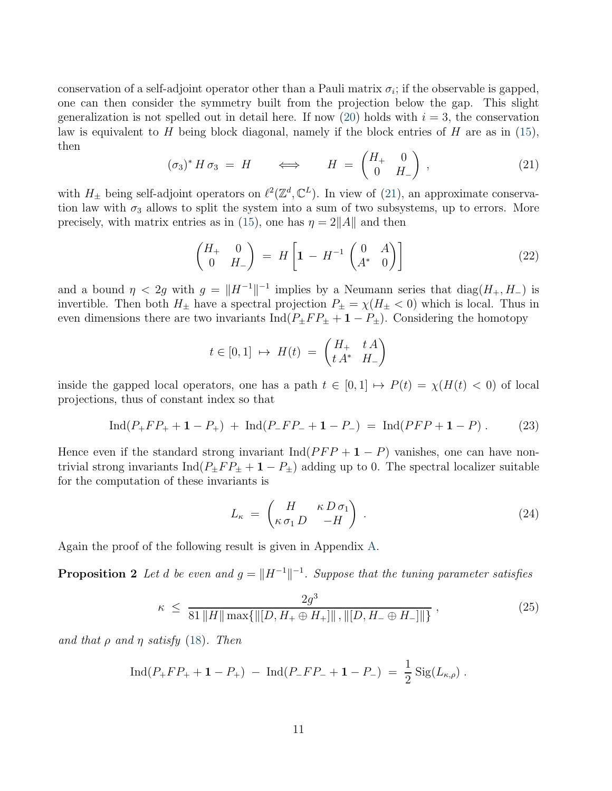conservation of a self-adjoint operator other than a Pauli matrix  $\sigma_i$ ; if the observable is gapped, one can then consider the symmetry built from the projection below the gap. This slight generalization is not spelled out in detail here. If now [\(20\)](#page-9-4) holds with  $i = 3$ , the conservation law is equivalent to H being block diagonal, namely if the block entries of H are as in  $(15)$ , then

<span id="page-10-0"></span>
$$
(\sigma_3)^* H \sigma_3 = H \qquad \Longleftrightarrow \qquad H = \begin{pmatrix} H_+ & 0 \\ 0 & H_- \end{pmatrix} , \qquad (21)
$$

with  $H_{\pm}$  being self-adjoint operators on  $\ell^2(\mathbb{Z}^d, \mathbb{C}^L)$ . In view of [\(21\)](#page-10-0), an approximate conservation law with  $\sigma_3$  allows to split the system into a sum of two subsystems, up to errors. More precisely, with matrix entries as in [\(15\)](#page-8-1), one has  $\eta = 2||A||$  and then

<span id="page-10-1"></span>
$$
\begin{pmatrix} H_+ & 0 \\ 0 & H_- \end{pmatrix} = H \begin{bmatrix} 1 - H^{-1} \begin{pmatrix} 0 & A \\ A^* & 0 \end{pmatrix} \end{bmatrix}
$$
 (22)

and a bound  $\eta < 2g$  with  $g = ||H^{-1}||^{-1}$  implies by a Neumann series that  $diag(H_+, H_-)$  is invertible. Then both  $H_{\pm}$  have a spectral projection  $P_{\pm} = \chi(H_{\pm} < 0)$  which is local. Thus in even dimensions there are two invariants  $\text{Ind}(P_{\pm}FP_{\pm}+1-P_{\pm})$ . Considering the homotopy

$$
t \in [0,1] \mapsto H(t) = \begin{pmatrix} H_+ & t \, A \\ t \, A^* & H_- \end{pmatrix}
$$

inside the gapped local operators, one has a path  $t \in [0, 1] \mapsto P(t) = \chi(H(t) < 0)$  of local projections, thus of constant index so that

<span id="page-10-3"></span>
$$
Ind(P_+FP_+ + 1 - P_+) + Ind(P_-FP_- + 1 - P_-) = Ind(PFP + 1 - P).
$$
 (23)

Hence even if the standard strong invariant  $\text{Ind}(PFP + 1 - P)$  vanishes, one can have nontrivial strong invariants Ind( $P_{\pm}FP_{\pm}+1-P_{\pm}$ ) adding up to 0. The spectral localizer suitable for the computation of these invariants is

<span id="page-10-4"></span>
$$
L_{\kappa} = \begin{pmatrix} H & \kappa D \sigma_1 \\ \kappa \sigma_1 D & -H \end{pmatrix} . \tag{24}
$$

<span id="page-10-2"></span>Again the proof of the following result is given in Appendix [A.](#page-29-0)

**Proposition 2** Let d be even and  $g = ||H^{-1}||^{-1}$ . Suppose that the tuning parameter satisfies

$$
\kappa \le \frac{2g^3}{81\|H\| \max\{\|[D, H_+ \oplus H_+]\|, \|[D, H_- \oplus H_-]\|\}},
$$
\n(25)

and that  $\rho$  and  $\eta$  satisfy [\(18\)](#page-9-2). Then

$$
Ind(P_+FP_+ + 1 - P_+) - Ind(P_-FP_- + 1 - P_-) = \frac{1}{2} Sig(L_{\kappa,\rho}).
$$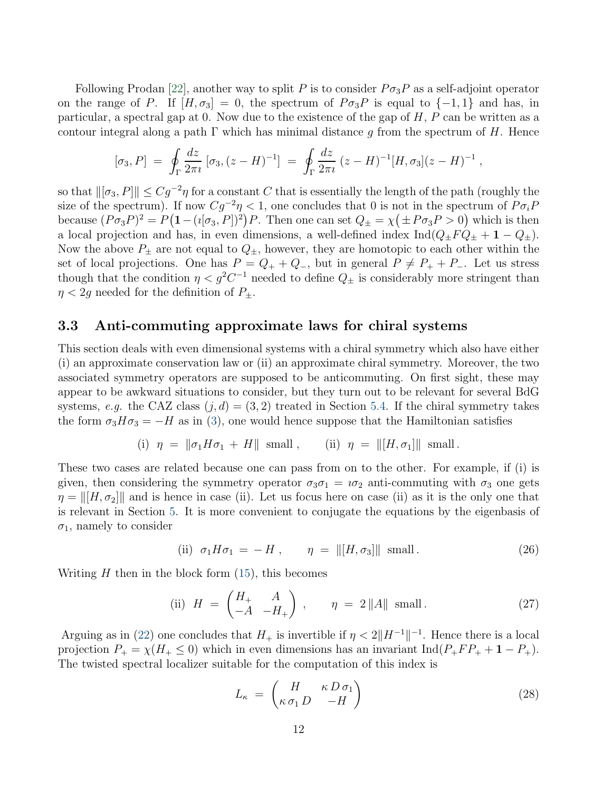Following Prodan [\[22\]](#page-31-10), another way to split P is to consider  $P\sigma_3P$  as a self-adjoint operator on the range of P. If  $[H, \sigma_3] = 0$ , the spectrum of  $P \sigma_3 P$  is equal to  $\{-1, 1\}$  and has, in particular, a spectral gap at 0. Now due to the existence of the gap of  $H, P$  can be written as a contour integral along a path  $\Gamma$  which has minimal distance g from the spectrum of H. Hence

$$
[\sigma_3, P] = \oint_{\Gamma} \frac{dz}{2\pi i} [\sigma_3, (z - H)^{-1}] = \oint_{\Gamma} \frac{dz}{2\pi i} (z - H)^{-1} [H, \sigma_3] (z - H)^{-1} ,
$$

so that  $\|\sigma_3, P\| \leq Cg^{-2}\eta$  for a constant C that is essentially the length of the path (roughly the size of the spectrum). If now  $Cg^{-2}\eta < 1$ , one concludes that 0 is not in the spectrum of  $P\sigma_i P$ because  $(P\sigma_3 P)^2 = P(1 - (i[\sigma_3, P])^2)P$ . Then one can set  $Q_{\pm} = \chi(\pm P\sigma_3 P > 0)$  which is then a local projection and has, in even dimensions, a well-defined index  $\text{Ind}(Q_{\pm}FQ_{\pm} + 1 - Q_{\pm}).$ Now the above  $P_{\pm}$  are not equal to  $Q_{\pm}$ , however, they are homotopic to each other within the set of local projections. One has  $P = Q_+ + Q_-$ , but in general  $P \neq P_+ + P_-$ . Let us stress though that the condition  $\eta < g^2 C^{-1}$  needed to define  $Q_{\pm}$  is considerably more stringent than  $\eta$  < 2g needed for the definition of  $P_{\pm}$ .

#### <span id="page-11-0"></span>3.3 Anti-commuting approximate laws for chiral systems

This section deals with even dimensional systems with a chiral symmetry which also have either (i) an approximate conservation law or (ii) an approximate chiral symmetry. Moreover, the two associated symmetry operators are supposed to be anticommuting. On first sight, these may appear to be awkward situations to consider, but they turn out to be relevant for several BdG systems, e.g. the CAZ class  $(j, d) = (3, 2)$  treated in Section [5.4.](#page-20-0) If the chiral symmetry takes the form  $\sigma_3 H \sigma_3 = -H$  as in [\(3\)](#page-4-2), one would hence suppose that the Hamiltonian satisfies

(i) 
$$
\eta = ||\sigma_1 H \sigma_1 + H||
$$
 small, (ii)  $\eta = ||[H, \sigma_1]||$  small.

These two cases are related because one can pass from on to the other. For example, if (i) is given, then considering the symmetry operator  $\sigma_3\sigma_1 = i\sigma_2$  anti-commuting with  $\sigma_3$  one gets  $\eta = ||H, \sigma_2||$  and is hence in case (ii). Let us focus here on case (ii) as it is the only one that is relevant in Section [5.](#page-16-0) It is more convenient to conjugate the equations by the eigenbasis of  $\sigma_1$ , namely to consider

<span id="page-11-1"></span>(ii) 
$$
\sigma_1 H \sigma_1 = -H
$$
,  $\eta = ||[H, \sigma_3]||$  small. (26)

Writing  $H$  then in the block form  $(15)$ , this becomes

<span id="page-11-3"></span>(ii) 
$$
H = \begin{pmatrix} H_+ & A \\ -A & -H_+ \end{pmatrix}
$$
,  $\eta = 2 ||A||$  small. (27)

Arguing as in [\(22\)](#page-10-1) one concludes that  $H_+$  is invertible if  $\eta < 2||H^{-1}||^{-1}$ . Hence there is a local projection  $P_+ = \chi(H_+ \leq 0)$  which in even dimensions has an invariant Ind( $P_+FP_+ + 1 - P_+$ ). The twisted spectral localizer suitable for the computation of this index is

<span id="page-11-2"></span>
$$
L_{\kappa} = \begin{pmatrix} H & \kappa D \sigma_1 \\ \kappa \sigma_1 D & -H \end{pmatrix}
$$
 (28)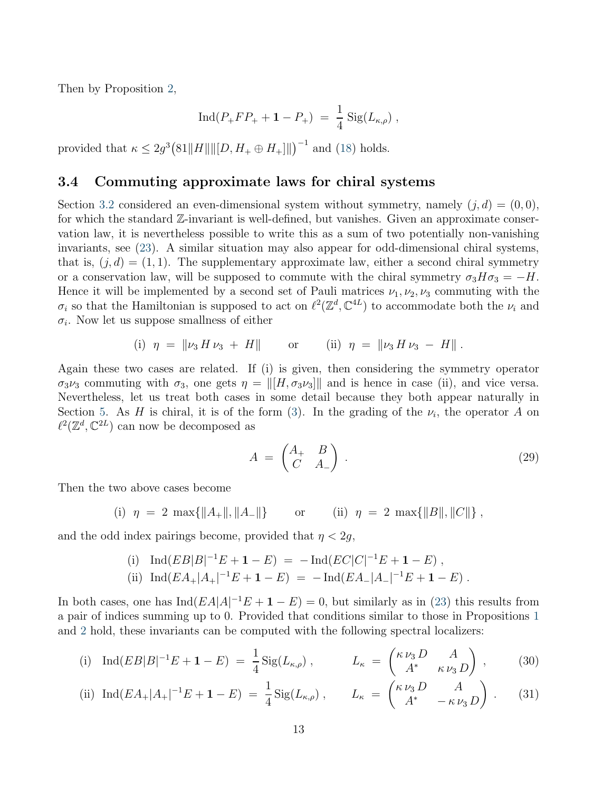Then by Proposition [2,](#page-10-2)

$$
Ind(P_+FP_+ + 1 - P_+) = \frac{1}{4} Sig(L_{\kappa,\rho}),
$$

provided that  $\kappa \leq 2g^3 \left( 81 ||H|| ||[D, H_+ \oplus H_+]] \right)^{-1}$  and [\(18\)](#page-9-2) holds.

#### <span id="page-12-0"></span>3.4 Commuting approximate laws for chiral systems

Section [3.2](#page-9-0) considered an even-dimensional system without symmetry, namely  $(j, d) = (0, 0)$ , for which the standard Z-invariant is well-defined, but vanishes. Given an approximate conservation law, it is nevertheless possible to write this as a sum of two potentially non-vanishing invariants, see [\(23\)](#page-10-3). A similar situation may also appear for odd-dimensional chiral systems, that is,  $(j, d) = (1, 1)$ . The supplementary approximate law, either a second chiral symmetry or a conservation law, will be supposed to commute with the chiral symmetry  $\sigma_3H\sigma_3 = -H$ . Hence it will be implemented by a second set of Pauli matrices  $\nu_1, \nu_2, \nu_3$  commuting with the  $\sigma_i$  so that the Hamiltonian is supposed to act on  $\ell^2(\mathbb{Z}^d, \mathbb{C}^{4L})$  to accommodate both the  $\nu_i$  and  $\sigma_i$ . Now let us suppose smallness of either

(i) 
$$
\eta = ||\nu_3 H \nu_3 + H||
$$
 or (ii)  $\eta = ||\nu_3 H \nu_3 - H||$ .

Again these two cases are related. If (i) is given, then considering the symmetry operator  $\sigma_3\nu_3$  commuting with  $\sigma_3$ , one gets  $\eta = ||[H, \sigma_3\nu_3]]$  and is hence in case (ii), and vice versa. Nevertheless, let us treat both cases in some detail because they both appear naturally in Section [5.](#page-16-0) As H is chiral, it is of the form [\(3\)](#page-4-2). In the grading of the  $\nu_i$ , the operator A on  $\ell^2(\mathbb{Z}^d, \mathbb{C}^{2L})$  can now be decomposed as

<span id="page-12-3"></span><span id="page-12-2"></span><span id="page-12-1"></span>
$$
A = \begin{pmatrix} A_+ & B \\ C & A_- \end{pmatrix} . \tag{29}
$$

Then the two above cases become

(i) 
$$
\eta = 2 \max{\{\|A_{+}\|,\|A_{-}\|\}}
$$
 or (ii)  $\eta = 2 \max{\{\|B\|,\|C\|\}}$ ,

and the odd index pairings become, provided that  $\eta < 2g$ ,

(i) Ind
$$
(EB|B|^{-1}E + \mathbf{1} - E) = -\text{Ind}(EC|C|^{-1}E + \mathbf{1} - E)
$$
,  
\n(ii) Ind $(EA_+|A_+|^{-1}E + \mathbf{1} - E) = -\text{Ind}(EA_-|A_-|^{-1}E + \mathbf{1} - E)$ .

In both cases, one has  $\text{Ind}(EA|A|^{-1}E + \mathbf{1} - E) = 0$ , but similarly as in [\(23\)](#page-10-3) this results from a pair of indices summing up to 0. Provided that conditions similar to those in Propositions [1](#page-8-3) and [2](#page-10-2) hold, these invariants can be computed with the following spectral localizers:

(i) Ind
$$
(EB|B|^{-1}E + \mathbf{1} - E) = \frac{1}{4} \text{Sig}(L_{\kappa,\rho}),
$$
  $L_{\kappa} = \begin{pmatrix} \kappa \nu_3 D & A \\ A^* & \kappa \nu_3 D \end{pmatrix},$  (30)

(ii) Ind
$$
(EA_+|A_+|^{-1}E + \mathbf{1} - E) = \frac{1}{4} \text{Sig}(L_{\kappa,\rho}), \qquad L_{\kappa} = \begin{pmatrix} \kappa \nu_3 D & A \\ A^* & -\kappa \nu_3 D \end{pmatrix}.
$$
 (31)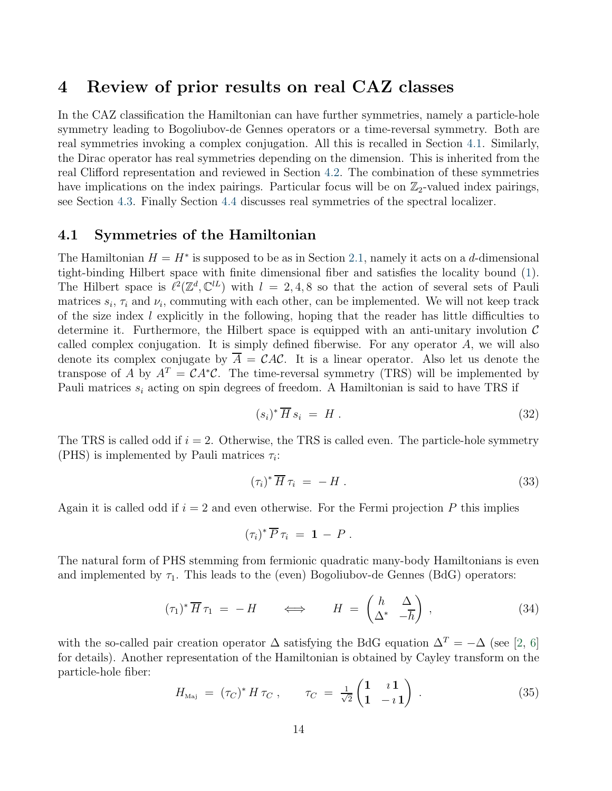### <span id="page-13-0"></span>4 Review of prior results on real CAZ classes

In the CAZ classification the Hamiltonian can have further symmetries, namely a particle-hole symmetry leading to Bogoliubov-de Gennes operators or a time-reversal symmetry. Both are real symmetries invoking a complex conjugation. All this is recalled in Section [4.1.](#page-13-1) Similarly, the Dirac operator has real symmetries depending on the dimension. This is inherited from the real Clifford representation and reviewed in Section [4.2.](#page-14-0) The combination of these symmetries have implications on the index pairings. Particular focus will be on  $\mathbb{Z}_2$ -valued index pairings, see Section [4.3.](#page-15-0) Finally Section [4.4](#page-16-1) discusses real symmetries of the spectral localizer.

#### <span id="page-13-1"></span>4.1 Symmetries of the Hamiltonian

The Hamiltonian  $H = H^*$  is supposed to be as in Section [2.1,](#page-3-1) namely it acts on a d-dimensional tight-binding Hilbert space with finite dimensional fiber and satisfies the locality bound [\(1\)](#page-3-2). The Hilbert space is  $\ell^2(\mathbb{Z}^d, \mathbb{C}^{l})$  with  $l = 2, 4, 8$  so that the action of several sets of Pauli matrices  $s_i$ ,  $\tau_i$  and  $\nu_i$ , commuting with each other, can be implemented. We will not keep track of the size index  $l$  explicitly in the following, hoping that the reader has little difficulties to determine it. Furthermore, the Hilbert space is equipped with an anti-unitary involution  $\mathcal C$ called complex conjugation. It is simply defined fiberwise. For any operator A, we will also denote its complex conjugate by  $\overline{A} = \mathcal{C}AC$ . It is a linear operator. Also let us denote the transpose of A by  $A^T = CA^*C$ . The time-reversal symmetry (TRS) will be implemented by Pauli matrices  $s_i$  acting on spin degrees of freedom. A Hamiltonian is said to have TRS if

$$
(s_i)^* \overline{H} s_i = H. \tag{32}
$$

The TRS is called odd if  $i = 2$ . Otherwise, the TRS is called even. The particle-hole symmetry (PHS) is implemented by Pauli matrices  $\tau_i$ :

$$
(\tau_i)^* \overline{H} \tau_i = -H \tag{33}
$$

Again it is called odd if  $i = 2$  and even otherwise. For the Fermi projection P this implies

$$
(\tau_i)^* \overline{P} \, \tau_i = \mathbf{1} - P \, .
$$

The natural form of PHS stemming from fermionic quadratic many-body Hamiltonians is even and implemented by  $\tau_1$ . This leads to the (even) Bogoliubov-de Gennes (BdG) operators:

<span id="page-13-3"></span>
$$
(\tau_1)^* \overline{H} \tau_1 = -H \qquad \Longleftrightarrow \qquad H = \begin{pmatrix} h & \Delta \\ \Delta^* & -h \end{pmatrix} , \qquad (34)
$$

with the so-called pair creation operator  $\Delta$  satisfying the BdG equation  $\Delta^T = -\Delta$  (see [\[2,](#page-30-5) [6\]](#page-30-6) for details). Another representation of the Hamiltonian is obtained by Cayley transform on the particle-hole fiber:

<span id="page-13-2"></span>
$$
H_{\text{Maj}} = (\tau_C)^* H \tau_C , \qquad \tau_C = \frac{1}{\sqrt{2}} \begin{pmatrix} 1 & i \ 1 & -i \ 1 & -i \end{pmatrix} . \tag{35}
$$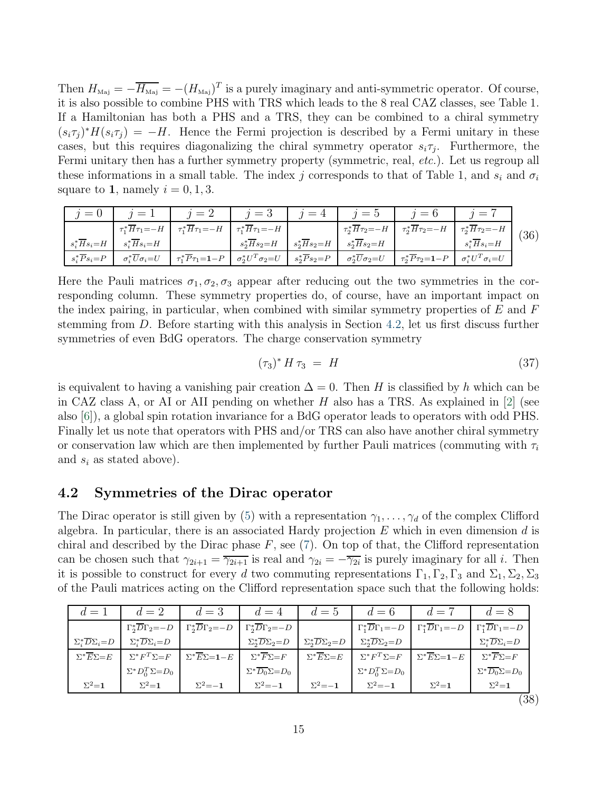Then  $H_{\text{Maj}} = -\overline{H_{\text{Maj}}} = -(H_{\text{Maj}})^T$  is a purely imaginary and anti-symmetric operator. Of course, it is also possible to combine PHS with TRS which leads to the 8 real CAZ classes, see Table 1. If a Hamiltonian has both a PHS and a TRS, they can be combined to a chiral symmetry  $(s_i\tau_j)^*H(s_i\tau_j) = -H$ . Hence the Fermi projection is described by a Fermi unitary in these cases, but this requires diagonalizing the chiral symmetry operator  $s_i \tau_j$ . Furthermore, the Fermi unitary then has a further symmetry property (symmetric, real, *etc.*). Let us regroup all these informations in a small table. The index j corresponds to that of Table 1, and  $s_i$  and  $\sigma_i$ square to 1, namely  $i = 0, 1, 3$ .

<span id="page-14-2"></span>

| $i=0$                        |                                        |                                                                                                                                                                                                 |                              |                              |                                        | $j=1$   $j=2$   $j=3$   $j=4$   $j=5$   $j=6$                                                                                         |                              |      |
|------------------------------|----------------------------------------|-------------------------------------------------------------------------------------------------------------------------------------------------------------------------------------------------|------------------------------|------------------------------|----------------------------------------|---------------------------------------------------------------------------------------------------------------------------------------|------------------------------|------|
|                              |                                        | $\left[ \begin{array}{c} \tau_1^* \overline{H} \tau_1 = -H \end{array} \right] \tau_1^* \overline{H} \tau_1 = -H \left[ \begin{array}{c} \tau_1^* \overline{H} \tau_1 = -H \end{array} \right]$ |                              |                              |                                        | $\tau_2^* \overline{H} \tau_2 = -H \left[ \tau_2^* \overline{H} \tau_2 = -H \left[ \tau_2^* \overline{H} \tau_2 = -H \right] \right]$ |                              | (36) |
| $s_i^* \overline{H} s_i = H$ | $s_i^* \overline{H} s_i = H$           |                                                                                                                                                                                                 | $s_2^* \overline{H} s_2 = H$ | $s_2^* \overline{H} s_2 = H$ | $s_2^* \overline{H} s_2 = H$           |                                                                                                                                       | $s_i^* \overline{H} s_i = H$ |      |
| $s_i^* \overline{P} s_i = P$ | $\sigma_i^* \overline{U} \sigma_i = U$ | $\begin{array}{c c} \uparrow & \overline{P} \tau_1 = \mathbf{1} - P & \sigma_2^* U^T \sigma_2 = U \end{array}$                                                                                  |                              | $s_2^* \overline{P} s_2 = P$ | $\sigma_2^* \overline{U} \sigma_2 = U$ | $\tau_2^* \overline{P} \tau_2 = 1 - P \quad \sigma_i^* U^T \sigma_i = U$                                                              |                              |      |

Here the Pauli matrices  $\sigma_1, \sigma_2, \sigma_3$  appear after reducing out the two symmetries in the corresponding column. These symmetry properties do, of course, have an important impact on the index pairing, in particular, when combined with similar symmetry properties of  $E$  and  $F$ stemming from D. Before starting with this analysis in Section [4.2,](#page-14-0) let us first discuss further symmetries of even BdG operators. The charge conservation symmetry

$$
(\tau_3)^* H \tau_3 = H \tag{37}
$$

is equivalent to having a vanishing pair creation  $\Delta = 0$ . Then H is classified by h which can be in CAZ class A, or AI or AII pending on whether H also has a TRS. As explained in  $[2]$  (see also [\[6\]](#page-30-6)), a global spin rotation invariance for a BdG operator leads to operators with odd PHS. Finally let us note that operators with PHS and/or TRS can also have another chiral symmetry or conservation law which are then implemented by further Pauli matrices (commuting with  $\tau_i$ and  $s_i$  as stated above).

#### <span id="page-14-0"></span>4.2 Symmetries of the Dirac operator

The Dirac operator is still given by [\(5\)](#page-4-0) with a representation  $\gamma_1, \ldots, \gamma_d$  of the complex Clifford algebra. In particular, there is an associated Hardy projection  $E$  which in even dimension  $d$  is chiral and described by the Dirac phase  $F$ , see [\(7\)](#page-5-3). On top of that, the Clifford representation can be chosen such that  $\gamma_{2i+1} = \overline{\gamma_{2i+1}}$  is real and  $\gamma_{2i} = -\overline{\gamma_{2i}}$  is purely imaginary for all *i*. Then it is possible to construct for every d two commuting representations  $\Gamma_1, \Gamma_2, \Gamma_3$  and  $\Sigma_1, \Sigma_2, \Sigma_3$ of the Pauli matrices acting on the Clifford representation space such that the following holds:

<span id="page-14-1"></span>

| $d=1$                                  | $d=2$                                | $d=3$                                   | $d=4$                                     | $d=5$                                    | $d=6$                                    | $d = 7$                                 | $d=8$                                   |
|----------------------------------------|--------------------------------------|-----------------------------------------|-------------------------------------------|------------------------------------------|------------------------------------------|-----------------------------------------|-----------------------------------------|
|                                        | $\Gamma_2^* D \Gamma_2 = -D$         | $\Gamma_2^* \overline{D} \Gamma_2 = -D$ | $\Gamma_{2}^{*}\overline{D}\Gamma_{2}=-D$ |                                          | $\Gamma_1^* D \Gamma_1 = -D$             | $\Gamma_1^* \overline{D} \Gamma_1 = -D$ | $\Gamma_1^* \overline{D} \Gamma_1 = -D$ |
| $\Sigma_i^* \overline{D} \Sigma_i = D$ | $\Sigma^* \overline{D} \Sigma_i = D$ |                                         | $\Sigma_2^* \overline{D} \Sigma_2 = D$    | $\Sigma_{2}^{*}\overline{D}\Sigma_{2}=D$ | $\Sigma_{2}^{*}\overline{D}\Sigma_{2}=D$ |                                         | $\Sigma_i^* \overline{D} \Sigma_i = D$  |
| $\Sigma^* \overline{E} \Sigma = E$     | $\Sigma^* F^T \Sigma = F$            | $\Sigma^* \overline{E} \Sigma = 1 - E$  | $\Sigma^* \overline{F} \Sigma = F$        | $\Sigma^* \overline{E} \Sigma = E$       | $\Sigma^* F^T \Sigma = F$                | $\Sigma^* \overline{E} \Sigma = 1 - E$  | $\Sigma^* \overline{F} \Sigma = F$      |
|                                        | $\Sigma^* D_0^T \Sigma = D_0$        |                                         | $\Sigma^* \overline{D_0} \Sigma = D_0$    |                                          | $\Sigma^* D_0^T \Sigma = D_0$            |                                         | $\Sigma^* \overline{D_0} \Sigma = D_0$  |
| $\Sigma^2 = 1$                         | $\Sigma^2$ = 1                       | $\Sigma^2 = -1$                         | $\Sigma^2 = -1$                           | $\Sigma^2 = -1$                          | $\Sigma^2 = -1$                          | $\Sigma^2 = 1$                          | $\Sigma^2$ = 1                          |

(38)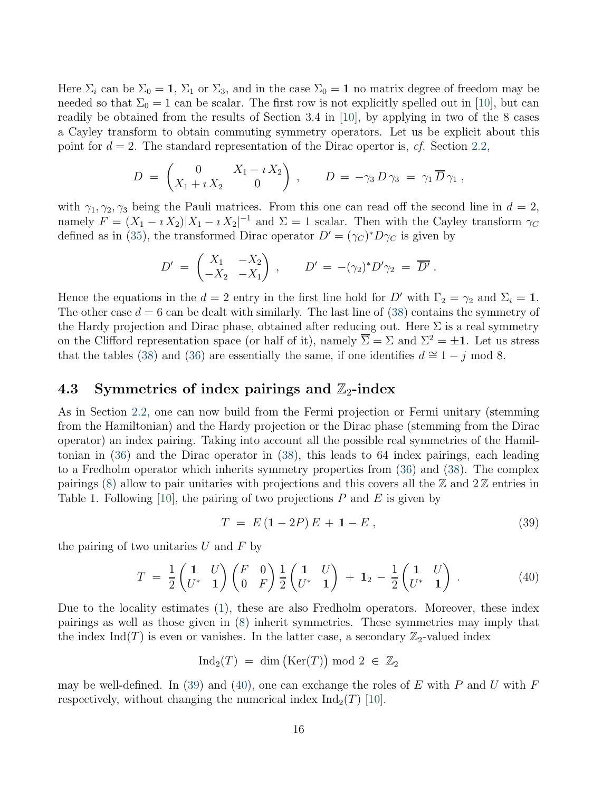Here  $\Sigma_i$  can be  $\Sigma_0 = 1$ ,  $\Sigma_1$  or  $\Sigma_3$ , and in the case  $\Sigma_0 = 1$  no matrix degree of freedom may be needed so that  $\Sigma_0 = 1$  can be scalar. The first row is not explicitly spelled out in [\[10\]](#page-31-1), but can readily be obtained from the results of Section 3.4 in [\[10\]](#page-31-1), by applying in two of the 8 cases a Cayley transform to obtain commuting symmetry operators. Let us be explicit about this point for  $d = 2$ . The standard representation of the Dirac opertor is, cf. Section [2.2,](#page-4-1)

$$
D = \begin{pmatrix} 0 & X_1 - i X_2 \\ X_1 + i X_2 & 0 \end{pmatrix}, \qquad D = -\gamma_3 D \gamma_3 = \gamma_1 \overline{D} \gamma_1 ,
$$

with  $\gamma_1, \gamma_2, \gamma_3$  being the Pauli matrices. From this one can read off the second line in  $d = 2$ , namely  $F = (X_1 - i X_2)|X_1 - i X_2|^{-1}$  and  $\Sigma = 1$  scalar. Then with the Cayley transform  $\gamma_C$ defined as in [\(35\)](#page-13-2), the transformed Dirac operator  $D' = (\gamma_C)^* D \gamma_C$  is given by

$$
D' = \begin{pmatrix} X_1 & -X_2 \\ -X_2 & -X_1 \end{pmatrix} , \qquad D' = -(\gamma_2)^* D' \gamma_2 = \overline{D'} .
$$

Hence the equations in the  $d = 2$  entry in the first line hold for D' with  $\Gamma_2 = \gamma_2$  and  $\Sigma_i = 1$ . The other case  $d = 6$  can be dealt with similarly. The last line of [\(38\)](#page-14-1) contains the symmetry of the Hardy projection and Dirac phase, obtained after reducing out. Here  $\Sigma$  is a real symmetry on the Clifford representation space (or half of it), namely  $\overline{\Sigma} = \Sigma$  and  $\Sigma^2 = \pm 1$ . Let us stress that the tables [\(38\)](#page-14-1) and [\(36\)](#page-14-2) are essentially the same, if one identifies  $d \approx 1 - j \mod 8$ .

#### <span id="page-15-0"></span>4.3 Symmetries of index pairings and  $\mathbb{Z}_2$ -index

As in Section [2.2,](#page-4-1) one can now build from the Fermi projection or Fermi unitary (stemming from the Hamiltonian) and the Hardy projection or the Dirac phase (stemming from the Dirac operator) an index pairing. Taking into account all the possible real symmetries of the Hamiltonian in [\(36\)](#page-14-2) and the Dirac operator in [\(38\)](#page-14-1), this leads to 64 index pairings, each leading to a Fredholm operator which inherits symmetry properties from [\(36\)](#page-14-2) and [\(38\)](#page-14-1). The complex pairings  $(8)$  allow to pair unitaries with projections and this covers all the  $\mathbb{Z}$  and  $2\mathbb{Z}$  entries in Table 1. Following [\[10\]](#page-31-1), the pairing of two projections  $P$  and  $E$  is given by

<span id="page-15-1"></span>
$$
T = E(1 - 2P)E + 1 - E,
$$
\n(39)

the pairing of two unitaries  $U$  and  $F$  by

<span id="page-15-2"></span>
$$
T = \frac{1}{2} \begin{pmatrix} 1 & U \\ U^* & 1 \end{pmatrix} \begin{pmatrix} F & 0 \\ 0 & F \end{pmatrix} \frac{1}{2} \begin{pmatrix} 1 & U \\ U^* & 1 \end{pmatrix} + 1_2 - \frac{1}{2} \begin{pmatrix} 1 & U \\ U^* & 1 \end{pmatrix} . \tag{40}
$$

Due to the locality estimates [\(1\)](#page-3-2), these are also Fredholm operators. Moreover, these index pairings as well as those given in [\(8\)](#page-5-1) inherit symmetries. These symmetries may imply that the index Ind(T) is even or vanishes. In the latter case, a secondary  $\mathbb{Z}_2$ -valued index

$$
\mathrm{Ind}_2(T) \;=\; \dim\big(\mathrm{Ker}(T)\big) \bmod 2 \;\in\; \mathbb{Z}_2
$$

may be well-defined. In [\(39\)](#page-15-1) and [\(40\)](#page-15-2), one can exchange the roles of E with P and U with F respectively, without changing the numerical index  $\text{Ind}_2(T)$  [\[10\]](#page-31-1).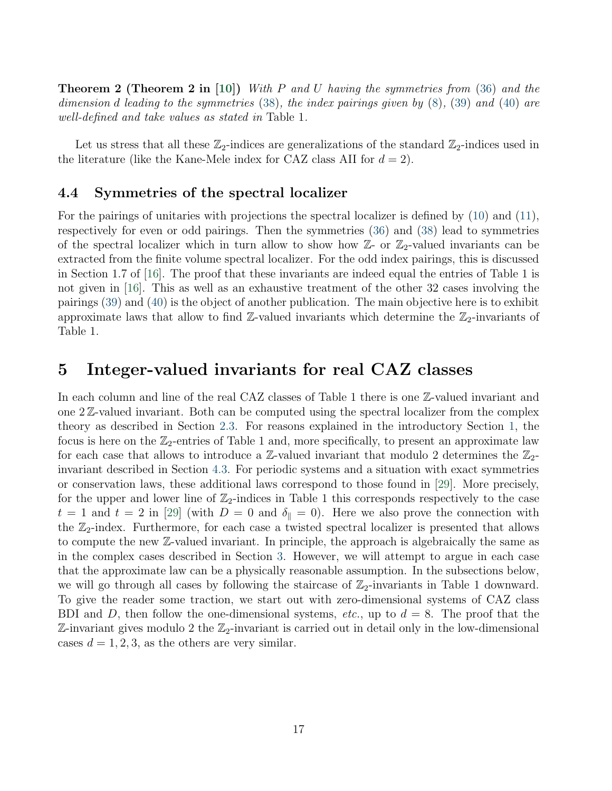**Theorem 2 (Theorem 2 in** [\[10\]](#page-31-1)) With P and U having the symmetries from  $(36)$  and the dimension d leading to the symmetries [\(38\)](#page-14-1), the index pairings given by  $(8)$ ,  $(39)$  and  $(40)$  are well-defined and take values as stated in Table 1.

Let us stress that all these  $\mathbb{Z}_2$ -indices are generalizations of the standard  $\mathbb{Z}_2$ -indices used in the literature (like the Kane-Mele index for CAZ class AII for  $d = 2$ ).

#### <span id="page-16-1"></span>4.4 Symmetries of the spectral localizer

For the pairings of unitaries with projections the spectral localizer is defined by [\(10\)](#page-6-1) and [\(11\)](#page-6-3), respectively for even or odd pairings. Then the symmetries [\(36\)](#page-14-2) and [\(38\)](#page-14-1) lead to symmetries of the spectral localizer which in turn allow to show how  $\mathbb{Z}$ - or  $\mathbb{Z}_2$ -valued invariants can be extracted from the finite volume spectral localizer. For the odd index pairings, this is discussed in Section 1.7 of [\[16\]](#page-31-4). The proof that these invariants are indeed equal the entries of Table 1 is not given in [\[16\]](#page-31-4). This as well as an exhaustive treatment of the other 32 cases involving the pairings [\(39\)](#page-15-1) and [\(40\)](#page-15-2) is the object of another publication. The main objective here is to exhibit approximate laws that allow to find  $\mathbb{Z}$ -valued invariants which determine the  $\mathbb{Z}_2$ -invariants of Table 1.

### <span id="page-16-0"></span>5 Integer-valued invariants for real CAZ classes

In each column and line of the real CAZ classes of Table 1 there is one  $\mathbb{Z}$ -valued invariant and one 2 Z-valued invariant. Both can be computed using the spectral localizer from the complex theory as described in Section [2.3.](#page-6-2) For reasons explained in the introductory Section [1,](#page-0-0) the focus is here on the  $\mathbb{Z}_2$ -entries of Table 1 and, more specifically, to present an approximate law for each case that allows to introduce a  $\mathbb{Z}$ -valued invariant that modulo 2 determines the  $\mathbb{Z}_2$ invariant described in Section [4.3.](#page-15-0) For periodic systems and a situation with exact symmetries or conservation laws, these additional laws correspond to those found in [\[29\]](#page-32-4). More precisely, for the upper and lower line of  $\mathbb{Z}_2$ -indices in Table 1 this corresponds respectively to the case  $t = 1$  and  $t = 2$  in [\[29\]](#page-32-4) (with  $D = 0$  and  $\delta_{\parallel} = 0$ ). Here we also prove the connection with the  $\mathbb{Z}_2$ -index. Furthermore, for each case a twisted spectral localizer is presented that allows to compute the new Z-valued invariant. In principle, the approach is algebraically the same as in the complex cases described in Section [3.](#page-7-0) However, we will attempt to argue in each case that the approximate law can be a physically reasonable assumption. In the subsections below, we will go through all cases by following the staircase of  $\mathbb{Z}_2$ -invariants in Table 1 downward. To give the reader some traction, we start out with zero-dimensional systems of CAZ class BDI and D, then follow the one-dimensional systems, etc., up to  $d = 8$ . The proof that the  $\mathbb{Z}$ -invariant gives modulo 2 the  $\mathbb{Z}_2$ -invariant is carried out in detail only in the low-dimensional cases  $d = 1, 2, 3$ , as the others are very similar.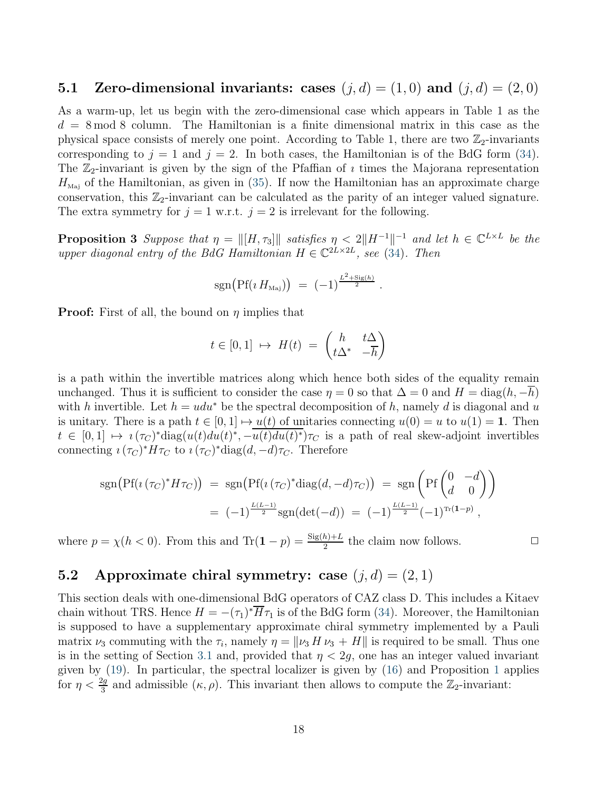#### <span id="page-17-0"></span>5.1 Zero-dimensional invariants: cases  $(i, d) = (1, 0)$  and  $(i, d) = (2, 0)$

As a warm-up, let us begin with the zero-dimensional case which appears in Table 1 as the  $d = 8 \text{ mod } 8$  column. The Hamiltonian is a finite dimensional matrix in this case as the physical space consists of merely one point. According to Table 1, there are two  $\mathbb{Z}_2$ -invariants corresponding to  $j = 1$  and  $j = 2$ . In both cases, the Hamiltonian is of the BdG form [\(34\)](#page-13-3). The  $\mathbb{Z}_2$ -invariant is given by the sign of the Pfaffian of *i* times the Majorana representation  $H_{\text{Maj}}$  of the Hamiltonian, as given in [\(35\)](#page-13-2). If now the Hamiltonian has an approximate charge conservation, this  $\mathbb{Z}_2$ -invariant can be calculated as the parity of an integer valued signature. The extra symmetry for  $j = 1$  w.r.t.  $j = 2$  is irrelevant for the following.

**Proposition 3** Suppose that  $\eta = ||[H, \tau_3]||$  satisfies  $\eta < 2||H^{-1}||^{-1}$  and let  $h \in \mathbb{C}^{L \times L}$  be the upper diagonal entry of the BdG Hamiltonian  $H \in \mathbb{C}^{2L \times 2L}$ , see [\(34\)](#page-13-3). Then

$$
sgn\big(Pf(\iota H_{\text{Maj}})\big) = (-1)^{\frac{L^2 + \text{Sig}(h)}{2}}.
$$

**Proof:** First of all, the bound on  $\eta$  implies that

$$
t \in [0,1] \ \mapsto \ H(t) \ = \ \begin{pmatrix} h & t\Delta \\ t\Delta^* & -\overline{h} \end{pmatrix}
$$

is a path within the invertible matrices along which hence both sides of the equality remain unchanged. Thus it is sufficient to consider the case  $\eta = 0$  so that  $\Delta = 0$  and  $H = \text{diag}(h, -h)$ with h invertible. Let  $h = u du^*$  be the spectral decomposition of h, namely d is diagonal and u is unitary. There is a path  $t \in [0, 1] \mapsto u(t)$  of unitaries connecting  $u(0) = u$  to  $u(1) = 1$ . Then  $t \in [0,1] \mapsto i(\tau_C)^*$ diag $(u(t)du(t)^*, -u(t)du(t)^*)\tau_C$  is a path of real skew-adjoint invertibles connecting  $\imath (\tau_C)^* H \tau_C$  to  $\imath (\tau_C)^*$ diag $(d, -d) \tau_C$ . Therefore

$$
sgn(Pf(\iota(\tau_C)^* H \tau_C)) = sgn(Pf(\iota(\tau_C)^* diag(d, -d) \tau_C)) = sgn\left(Pf\begin{pmatrix} 0 & -d \\ d & 0 \end{pmatrix}\right)
$$
  
=  $(-1)^{\frac{L(L-1)}{2}} sgn(det(-d)) = (-1)^{\frac{L(L-1)}{2}} (-1)^{Tr(1-p)},$ 

where  $p = \chi(h < 0)$ . From this and  $\text{Tr}(\mathbf{1} - p) = \frac{\text{Sig}(h) + L}{2}$  the claim now follows.

### 5.2 Approximate chiral symmetry: case  $(j, d) = (2, 1)$

This section deals with one-dimensional BdG operators of CAZ class D. This includes a Kitaev chain without TRS. Hence  $H = -(\tau_1)^* H \tau_1$  is of the BdG form [\(34\)](#page-13-3). Moreover, the Hamiltonian is supposed to have a supplementary approximate chiral symmetry implemented by a Pauli matrix  $\nu_3$  commuting with the  $\tau_i$ , namely  $\eta = ||\nu_3 H \nu_3 + H||$  is required to be small. Thus one is in the setting of Section [3.1](#page-8-0) and, provided that  $\eta < 2g$ , one has an integer valued invariant given by [\(19\)](#page-9-3). In particular, the spectral localizer is given by [\(16\)](#page-8-2) and Proposition [1](#page-8-3) applies for  $\eta < \frac{2g}{3}$  and admissible  $(\kappa, \rho)$ . This invariant then allows to compute the  $\mathbb{Z}_2$ -invariant: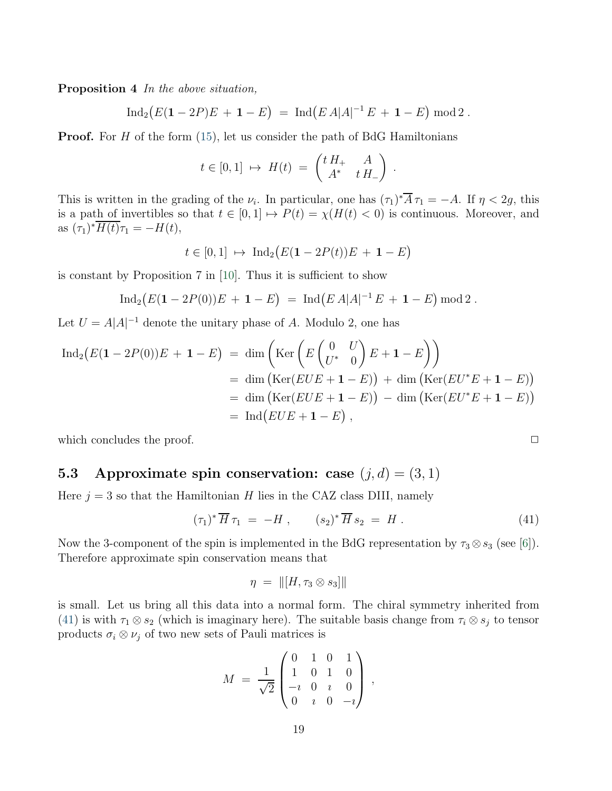Proposition 4 In the above situation,

$$
\operatorname{Ind}_2(E(1-2P)E + 1 - E) = \operatorname{Ind}(E A |A|^{-1} E + 1 - E) \operatorname{mod} 2.
$$

**Proof.** For H of the form  $(15)$ , let us consider the path of BdG Hamiltonians

$$
t \in [0,1] \ \mapsto \ H(t) \ = \ \begin{pmatrix} t H_+ & A \\ A^* & t H_- \end{pmatrix} \ .
$$

This is written in the grading of the  $\nu_i$ . In particular, one has  $(\tau_1)^* A \tau_1 = -A$ . If  $\eta < 2g$ , this is a path of invertibles so that  $t \in [0, 1] \mapsto P(t) = \chi(H(t) < 0)$  is continuous. Moreover, and as  $(\tau_1)^* H(t) \tau_1 = -H(t)$ ,

$$
t \in [0, 1] \rightarrow Ind_2(E(1 - 2P(t))E + 1 - E)
$$

is constant by Proposition 7 in [\[10\]](#page-31-1). Thus it is sufficient to show

$$
\operatorname{Ind}_2(E(1-2P(0))E+1-E) = \operatorname{Ind}(EA|A|^{-1}E+1-E) \operatorname{mod} 2.
$$

 $\mathcal{L} = \mathcal{L}$ 

Let  $U = A|A|^{-1}$  denote the unitary phase of A. Modulo 2, one has

$$
\begin{aligned} \operatorname{Ind}_{2}\left(E(\mathbf{1}-2P(0))E+\mathbf{1}-E\right) &= \dim\left(\operatorname{Ker}\left(E\begin{pmatrix}0&U\\U^*&0\end{pmatrix}E+\mathbf{1}-E\right)\right) \\ &= \dim\left(\operatorname{Ker}(EUE+\mathbf{1}-E)\right) + \dim\left(\operatorname{Ker}(EU^{*}E+\mathbf{1}-E)\right) \\ &= \dim\left(\operatorname{Ker}(EUE+\mathbf{1}-E)\right) - \dim\left(\operatorname{Ker}(EU^{*}E+\mathbf{1}-E)\right) \\ &= \operatorname{Ind}\left(EUE+\mathbf{1}-E\right), \end{aligned}
$$

which concludes the proof.

### <span id="page-18-1"></span>5.3 Approximate spin conservation: case  $(j, d) = (3, 1)$

Here  $j = 3$  so that the Hamiltonian H lies in the CAZ class DIII, namely

<span id="page-18-0"></span>
$$
(\tau_1)^* \overline{H} \tau_1 = -H , \qquad (s_2)^* \overline{H} s_2 = H . \qquad (41)
$$

Now the 3-component of the spin is implemented in the BdG representation by  $\tau_3 \otimes s_3$  (see [\[6\]](#page-30-6)). Therefore approximate spin conservation means that

$$
\eta = \| [H, \tau_3 \otimes s_3] \|
$$

is small. Let us bring all this data into a normal form. The chiral symmetry inherited from [\(41\)](#page-18-0) is with  $\tau_1 \otimes s_2$  (which is imaginary here). The suitable basis change from  $\tau_i \otimes s_j$  to tensor products  $\sigma_i \otimes \nu_j$  of two new sets of Pauli matrices is

$$
M = \frac{1}{\sqrt{2}} \begin{pmatrix} 0 & 1 & 0 & 1 \\ 1 & 0 & 1 & 0 \\ -i & 0 & i & 0 \\ 0 & i & 0 & -i \end{pmatrix} ,
$$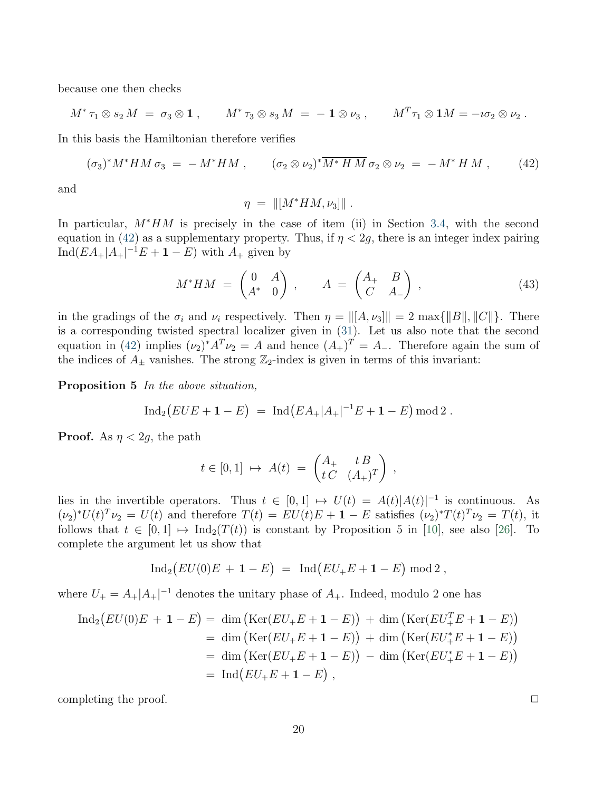because one then checks

$$
M^*\tau_1\otimes s_2 M\;=\;\sigma_3\otimes\mathbf{1}\;,\qquad M^*\tau_3\otimes s_3 M\;=\;-\;\mathbf{1}\otimes\nu_3\;,\qquad M^T\tau_1\otimes\mathbf{1}M=-\imath\sigma_2\otimes\nu_2\;.
$$

In this basis the Hamiltonian therefore verifies

<span id="page-19-0"></span>
$$
(\sigma_3)^* M^* H M \sigma_3 = -M^* H M , \qquad (\sigma_2 \otimes \nu_2)^* \overline{M^* H M} \sigma_2 \otimes \nu_2 = -M^* H M , \qquad (42)
$$

and

$$
\eta = \left\| [M^*HM,\nu_3] \right\|.
$$

In particular, M∗HM is precisely in the case of item (ii) in Section [3.4,](#page-12-0) with the second equation in [\(42\)](#page-19-0) as a supplementary property. Thus, if  $\eta < 2g$ , there is an integer index pairing  $\text{Ind}(EA_+|A_+|^{-1}E + \mathbf{1} - E)$  with  $A_+$  given by

<span id="page-19-1"></span>
$$
M^*HM = \begin{pmatrix} 0 & A \\ A^* & 0 \end{pmatrix}, \qquad A = \begin{pmatrix} A_+ & B \\ C & A_- \end{pmatrix}, \tag{43}
$$

in the gradings of the  $\sigma_i$  and  $\nu_i$  respectively. Then  $\eta = ||[A, \nu_3||] = 2 \max{||B||, ||C||}$ . There is a corresponding twisted spectral localizer given in [\(31\)](#page-12-1). Let us also note that the second equation in [\(42\)](#page-19-0) implies  $(\nu_2)^* A^T \nu_2 = A$  and hence  $(A_+)^T = A_-$ . Therefore again the sum of the indices of  $A_{\pm}$  vanishes. The strong  $\mathbb{Z}_2$ -index is given in terms of this invariant:

Proposition 5 In the above situation,

$$
\operatorname{Ind}_2\big(EUE+\mathbf{1}-E\big) \;=\; \operatorname{Ind}\big(EA_+|A_+|^{-1}E+\mathbf{1}-E\big) \operatorname{mod} 2 \;.
$$

**Proof.** As  $\eta < 2q$ , the path

$$
t\in [0,1]\ \mapsto\ A(t)\ =\ \begin{pmatrix} A_+ & t\ B \\ t\ C & (A_+)^T \end{pmatrix}\ ,
$$

lies in the invertible operators. Thus  $t \in [0,1] \mapsto U(t) = A(t)|A(t)|^{-1}$  is continuous. As  $(\nu_2)^* U(t)^T \nu_2 = U(t)$  and therefore  $T(t) = EU(t)E + \mathbf{1} - E$  satisfies  $(\nu_2)^* T(t)^T \nu_2 = T(t)$ , it follows that  $t \in [0, 1] \mapsto \text{Ind}_2(T(t))$  is constant by Proposition 5 in [\[10\]](#page-31-1), see also [\[26\]](#page-32-0). To complete the argument let us show that

$$
Ind_2(EU(0)E + 1 - E) = Ind(EU_+E + 1 - E) mod 2,
$$

where  $U_{+} = A_{+}|A_{+}|^{-1}$  denotes the unitary phase of  $A_{+}$ . Indeed, modulo 2 one has

$$
\begin{aligned} \text{Ind}_2(EU(0)E + 1 - E) &= \dim \left( \text{Ker}(EU_+E + 1 - E) \right) + \dim \left( \text{Ker}(EU_+^T E + 1 - E) \right) \\ &= \dim \left( \text{Ker}(EU_+E + 1 - E) \right) + \dim \left( \text{Ker}(EU_+^*E + 1 - E) \right) \\ &= \dim \left( \text{Ker}(EU_+E + 1 - E) \right) - \dim \left( \text{Ker}(EU_+^*E + 1 - E) \right) \\ &= \text{Ind}(EU_+E + 1 - E) \;, \end{aligned}
$$

completing the proof.  $\Box$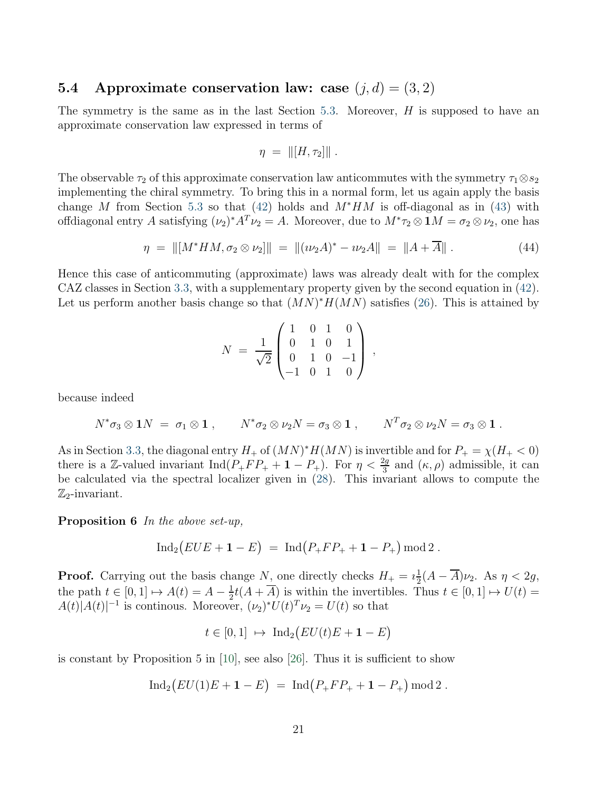#### <span id="page-20-0"></span>5.4 Approximate conservation law: case  $(i, d) = (3, 2)$

The symmetry is the same as in the last Section [5.3.](#page-18-1) Moreover,  $H$  is supposed to have an approximate conservation law expressed in terms of

$$
\eta = \| [H, \tau_2] \|.
$$

The observable  $\tau_2$  of this approximate conservation law anticommutes with the symmetry  $\tau_1 \otimes s_2$ implementing the chiral symmetry. To bring this in a normal form, let us again apply the basis change M from Section [5.3](#page-18-1) so that [\(42\)](#page-19-0) holds and  $M^*HM$  is off-diagonal as in [\(43\)](#page-19-1) with offdiagonal entry A satisfying  $(\nu_2)^* A^T \nu_2 = A$ . Moreover, due to  $M^* \tau_2 \otimes \mathbf{1}M = \sigma_2 \otimes \nu_2$ , one has

$$
\eta = \| [M^* H M, \sigma_2 \otimes \nu_2] \| = \| (\nu_2 A)^* - \nu_2 A \| = \| A + \overline{A} \|.
$$
 (44)

Hence this case of anticommuting (approximate) laws was already dealt with for the complex CAZ classes in Section [3.3,](#page-11-0) with a supplementary property given by the second equation in [\(42\)](#page-19-0). Let us perform another basis change so that  $(MN)^*H(MN)$  satisfies [\(26\)](#page-11-1). This is attained by

$$
N = \frac{1}{\sqrt{2}} \begin{pmatrix} 1 & 0 & 1 & 0 \\ 0 & 1 & 0 & 1 \\ 0 & 1 & 0 & -1 \\ -1 & 0 & 1 & 0 \end{pmatrix} ,
$$

because indeed

$$
N^*\sigma_3\otimes 1N = \sigma_1\otimes 1 , \qquad N^*\sigma_2\otimes \nu_2N = \sigma_3\otimes 1 , \qquad N^T\sigma_2\otimes \nu_2N = \sigma_3\otimes 1 .
$$

As in Section [3.3,](#page-11-0) the diagonal entry  $H_+$  of  $(MN)^*H(MN)$  is invertible and for  $P_+ = \chi(H_+ < 0)$ there is a Z-valued invariant  $\text{Ind}(P_+FP_+ + 1 - P_+)$ . For  $\eta < \frac{2g}{3}$  and  $(\kappa, \rho)$  admissible, it can be calculated via the spectral localizer given in [\(28\)](#page-11-2). This invariant allows to compute the  $\mathbb{Z}_2$ -invariant.

Proposition 6 In the above set-up,

$$
Ind_2(EUE + 1 - E) = Ind(P_+ FP_+ + 1 - P_+) mod 2.
$$

**Proof.** Carrying out the basis change N, one directly checks  $H_+ = i\frac{1}{2}$  $\frac{1}{2}(A-A)\nu_2$ . As  $\eta < 2g$ , the path  $t \in [0, 1] \mapsto A(t) = A - \frac{1}{2}$  $\frac{1}{2}t(A+A)$  is within the invertibles. Thus  $t \in [0,1] \mapsto U(t) =$  $A(t)|A(t)|^{-1}$  is continous. Moreover,  $(\nu_2)^* U(t)^T \nu_2 = U(t)$  so that

$$
t\in [0,1]\ \mapsto\ \mathrm{Ind}_2\big(EU(t)E+\mathbf{1}-E\big)
$$

is constant by Proposition 5 in [\[10\]](#page-31-1), see also [\[26\]](#page-32-0). Thus it is sufficient to show

$$
Ind_2(EU(1)E + 1 - E) = Ind(P_+FP_+ + 1 - P_+) \bmod 2.
$$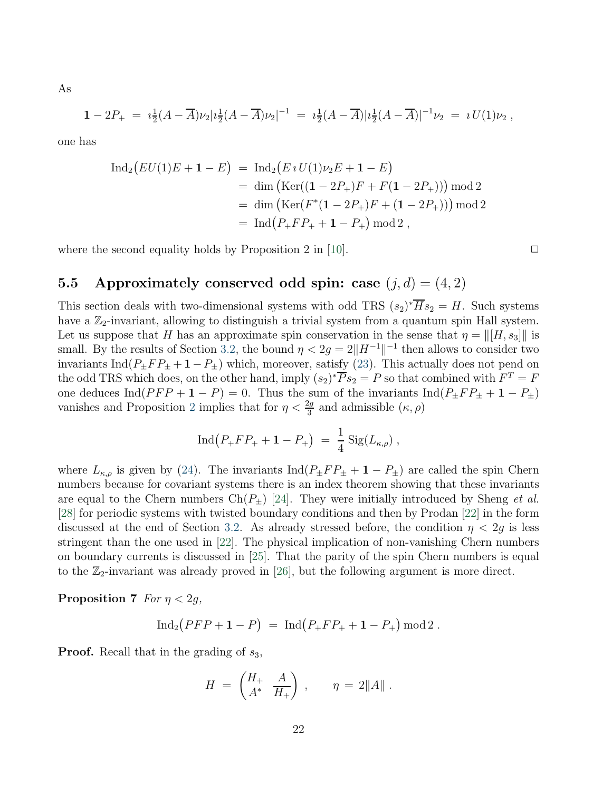As

$$
1 - 2P_+ = i\frac{1}{2}(A - \overline{A})\nu_2|i_2^{\perp}(A - \overline{A})\nu_2|^{-1} = i\frac{1}{2}(A - \overline{A})|i_2^{\perp}(A - \overline{A})|^{-1}\nu_2 = iU(1)\nu_2,
$$

one has

$$
\begin{aligned} \text{Ind}_2(EU(1)E + \mathbf{1} - E) &= \text{Ind}_2(E \, i \, U(1)\nu_2 E + \mathbf{1} - E) \\ &= \dim \left( \text{Ker}((\mathbf{1} - 2P_+)F + F(\mathbf{1} - 2P_+)) \right) \bmod 2 \\ &= \dim \left( \text{Ker}(F^*(\mathbf{1} - 2P_+)F + (\mathbf{1} - 2P_+)) \right) \bmod 2 \\ &= \text{Ind}\left(P_+ F P_+ + \mathbf{1} - P_+ \right) \bmod 2 \,, \end{aligned}
$$

<span id="page-21-0"></span>where the second equality holds by Proposition 2 in [\[10\]](#page-31-1).  $\Box$ 

### 5.5 Approximately conserved odd spin: case  $(j, d) = (4, 2)$

This section deals with two-dimensional systems with odd TRS  $(s_2)^* H s_2 = H$ . Such systems have a  $\mathbb{Z}_2$ -invariant, allowing to distinguish a trivial system from a quantum spin Hall system. Let us suppose that H has an approximate spin conservation in the sense that  $\eta = ||[H, s_3]||$  is small. By the results of Section [3.2,](#page-9-0) the bound  $\eta < 2g = 2||H^{-1}||^{-1}$  then allows to consider two invariants Ind( $P_{\pm}FP_{\pm}+1-P_{\pm}$ ) which, moreover, satisfy [\(23\)](#page-10-3). This actually does not pend on the odd TRS which does, on the other hand, imply  $(s_2)^* \overline{P} s_2 = P$  so that combined with  $F^T = F$ one deduces Ind( $PFP + 1 - P$ ) = 0. Thus the sum of the invariants Ind( $P_{\pm}FP_{\pm} + 1 - P_{\pm}$ ) vanishes and Proposition [2](#page-10-2) implies that for  $\eta < \frac{2g}{3}$  and admissible  $(\kappa, \rho)$ 

$$
Ind(P_+FP_+ + 1 - P_+) = \frac{1}{4} Sig(L_{\kappa,\rho}),
$$

where  $L_{\kappa,\rho}$  is given by [\(24\)](#page-10-4). The invariants  $\text{Ind}(P_{\pm}FP_{\pm}+1-P_{\pm})$  are called the spin Chern numbers because for covariant systems there is an index theorem showing that these invariants are equal to the Chern numbers  $Ch(P_{\pm})$  [\[24\]](#page-32-1). They were initially introduced by Sheng *et al.* [\[28\]](#page-32-2) for periodic systems with twisted boundary conditions and then by Prodan [\[22\]](#page-31-10) in the form discussed at the end of Section [3.2.](#page-9-0) As already stressed before, the condition  $\eta < 2g$  is less stringent than the one used in [\[22\]](#page-31-10). The physical implication of non-vanishing Chern numbers on boundary currents is discussed in [\[25\]](#page-32-3). That the parity of the spin Chern numbers is equal to the  $\mathbb{Z}_2$ -invariant was already proved in [\[26\]](#page-32-0), but the following argument is more direct.

Proposition 7 For  $\eta < 2g$ ,

$$
\operatorname{Ind}_2\bigl( PFP + \mathbf{1} - P \bigr) \;=\; \operatorname{Ind}\bigl( P_+FP_+ + \mathbf{1} - P_+ \bigr) \, \operatorname{mod} 2 \; .
$$

**Proof.** Recall that in the grading of  $s_3$ ,

$$
H = \begin{pmatrix} H_+ & A \\ A^* & \overline{H_+} \end{pmatrix} , \qquad \eta = 2||A||.
$$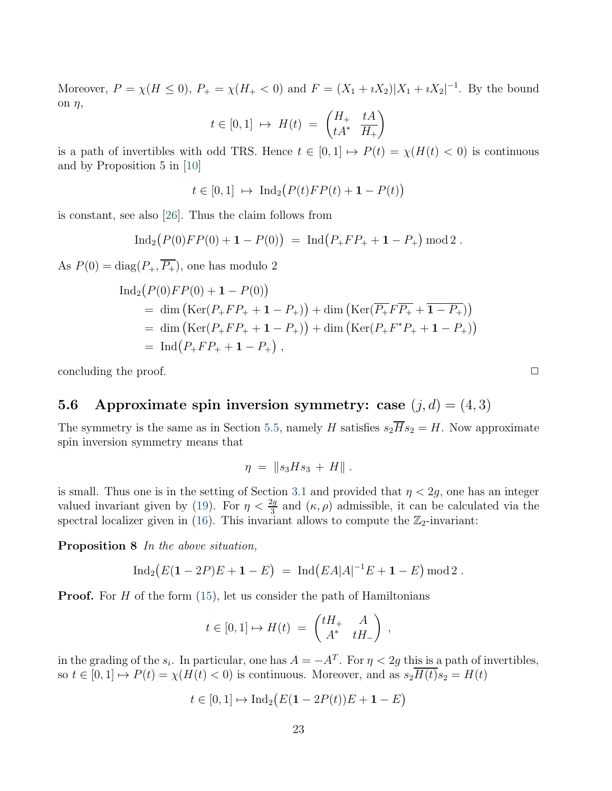Moreover,  $P = \chi(H \le 0)$ ,  $P_+ = \chi(H_+ < 0)$  and  $F = (X_1 + iX_2)|X_1 + iX_2|^{-1}$ . By the bound on  $\eta$ ,

$$
t\in[0,1]\ \mapsto\ H(t)\ =\ \begin{pmatrix}H_+ & tA \\ tA^* & \overline{H_+}\end{pmatrix}
$$

is a path of invertibles with odd TRS. Hence  $t \in [0,1] \mapsto P(t) = \chi(H(t) < 0)$  is continuous and by Proposition 5 in [\[10\]](#page-31-1)

$$
t\in [0,1]\ \mapsto\ \mathrm{Ind}_2\bigl(P(t)FP(t)+1-P(t)\bigr)
$$

is constant, see also [\[26\]](#page-32-0). Thus the claim follows from

$$
\operatorname{Ind}_2(P(0)FP(0) + 1 - P(0)) = \operatorname{Ind}(P_+FP_+ + 1 - P_+) \operatorname{mod} 2.
$$

As  $P(0) = \text{diag}(P_+, \overline{P_+})$ , one has modulo 2

$$
\begin{aligned} \text{Ind}_2\big(P(0)FP(0) + 1 - P(0)\big) \\ &= \dim\big(\text{Ker}(P_+FP_+ + 1 - P_+)\big) + \dim\big(\text{Ker}(\overline{P_+F}\overline{P_+} + \overline{1 - P_+})\big) \\ &= \dim\big(\text{Ker}(P_+FP_+ + 1 - P_+)\big) + \dim\big(\text{Ker}(P_+F^*P_+ + 1 - P_+)\big) \\ &= \text{Ind}\big(P_+FP_+ + 1 - P_+\big) \;, \end{aligned}
$$

concluding the proof.  $\Box$ 

### 5.6 Approximate spin inversion symmetry: case  $(i, d) = (4, 3)$

The symmetry is the same as in Section [5.5,](#page-21-0) namely H satisfies  $s_2\overline{H}s_2 = H$ . Now approximate spin inversion symmetry means that

$$
\eta = \|s_3 H s_3 + H\|.
$$

is small. Thus one is in the setting of Section [3.1](#page-8-0) and provided that  $\eta < 2g$ , one has an integer valued invariant given by [\(19\)](#page-9-3). For  $\eta < \frac{2g}{3}$  and  $(\kappa, \rho)$  admissible, it can be calculated via the spectral localizer given in [\(16\)](#page-8-2). This invariant allows to compute the  $\mathbb{Z}_2$ -invariant:

Proposition 8 In the above situation,

$$
Ind_2(E(1-2P)E + 1 - E) = Ind(EA|A|^{-1}E + 1 - E) mod 2.
$$

**Proof.** For  $H$  of the form  $(15)$ , let us consider the path of Hamiltonians

$$
t\in [0,1]\mapsto H(t)\;=\; \begin{pmatrix} tH_+ & A \\ A^* & tH_- \end{pmatrix}\;,
$$

in the grading of the  $s_i$ . In particular, one has  $A = -A^T$ . For  $\eta < 2g$  this is a path of invertibles, so  $t \in [0, 1] \mapsto P(t) = \chi(H(t) < 0)$  is continuous. Moreover, and as  $s_2\overline{H(t)}s_2 = H(t)$ 

$$
t \in [0,1] \mapsto \operatorname{Ind}_2(E(\mathbf{1} - 2P(t))E + \mathbf{1} - E)
$$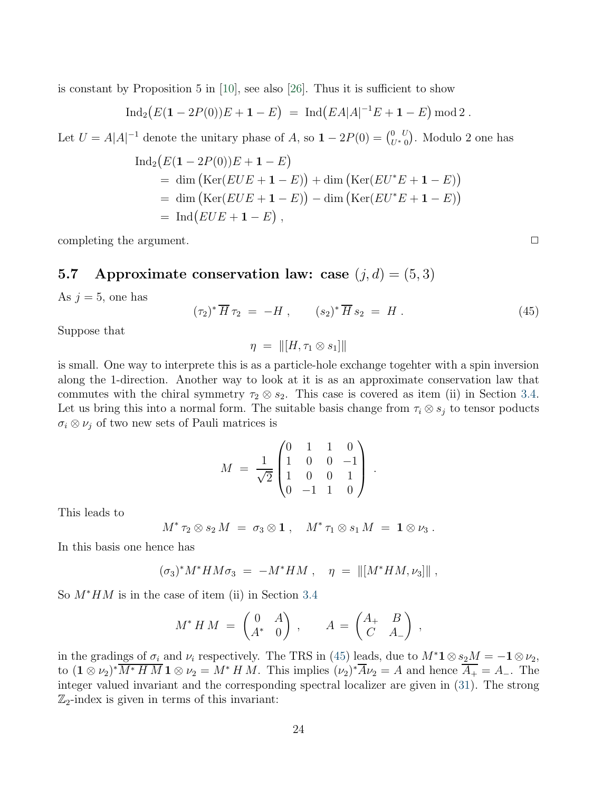is constant by Proposition 5 in  $[10]$ , see also  $[26]$ . Thus it is sufficient to show

$$
\operatorname{Ind}_2(E(\mathbf{1}-2P(0))E+\mathbf{1}-E) = \operatorname{Ind}(EA|A|^{-1}E+\mathbf{1}-E) \operatorname{mod} 2.
$$

Let  $U = A|A|^{-1}$  denote the unitary phase of A, so  $1 - 2P(0) = \begin{pmatrix} 0 & U \\ U^* & 0 \end{pmatrix}$ . Modulo 2 one has

$$
\begin{aligned} \text{Ind}_2(E(\mathbf{1} - 2P(0))E + \mathbf{1} - E) \\ &= \dim \left( \text{Ker}(EUE + \mathbf{1} - E) \right) + \dim \left( \text{Ker}(EU^*E + \mathbf{1} - E) \right) \\ &= \dim \left( \text{Ker}(EUE + \mathbf{1} - E) \right) - \dim \left( \text{Ker}(EU^*E + \mathbf{1} - E) \right) \\ &= \text{Ind}(EUE + \mathbf{1} - E) \;, \end{aligned}
$$

<span id="page-23-1"></span>completing the argument.  $\Box$ 

#### 5.7 Approximate conservation law: case  $(j, d) = (5, 3)$

As  $j = 5$ , one has

<span id="page-23-0"></span>
$$
(\tau_2)^* \overline{H} \tau_2 = -H , \qquad (s_2)^* \overline{H} s_2 = H . \qquad (45)
$$

Suppose that

$$
\eta = \|[H, \tau_1 \otimes s_1]\|
$$

is small. One way to interprete this is as a particle-hole exchange togehter with a spin inversion along the 1-direction. Another way to look at it is as an approximate conservation law that commutes with the chiral symmetry  $\tau_2 \otimes s_2$ . This case is covered as item (ii) in Section [3.4.](#page-12-0) Let us bring this into a normal form. The suitable basis change from  $\tau_i \otimes s_j$  to tensor poducts  $\sigma_i \otimes \nu_j$  of two new sets of Pauli matrices is

$$
M = \frac{1}{\sqrt{2}} \begin{pmatrix} 0 & 1 & 1 & 0 \\ 1 & 0 & 0 & -1 \\ 1 & 0 & 0 & 1 \\ 0 & -1 & 1 & 0 \end{pmatrix}.
$$

This leads to

$$
M^* \tau_2 \otimes s_2 M = \sigma_3 \otimes \mathbf{1} , \quad M^* \tau_1 \otimes s_1 M = \mathbf{1} \otimes \nu_3 .
$$

In this basis one hence has

$$
(\sigma_3)^* M^* H M \sigma_3 \ = \ -M^* H M \ , \quad \eta \ = \ \| [M^* H M , \nu_3] \| \ ,
$$

So M∗HM is in the case of item (ii) in Section [3.4](#page-12-0)

$$
M^*HM = \begin{pmatrix} 0 & A \\ A^* & 0 \end{pmatrix}, \qquad A = \begin{pmatrix} A_+ & B \\ C & A_- \end{pmatrix},
$$

in the gradings of  $\sigma_i$  and  $\nu_i$  respectively. The TRS in [\(45\)](#page-23-0) leads, due to  $M^*1 \otimes s_2M = -1 \otimes \nu_2$ , to  $(\mathbf{1} \otimes \nu_2)^* M^* H M \mathbf{1} \otimes \nu_2 = M^* H M$ . This implies  $(\nu_2)^* A \nu_2 = A$  and hence  $A_+ = A_-$ . The integer valued invariant and the corresponding spectral localizer are given in [\(31\)](#page-12-1). The strong  $\mathbb{Z}_2$ -index is given in terms of this invariant: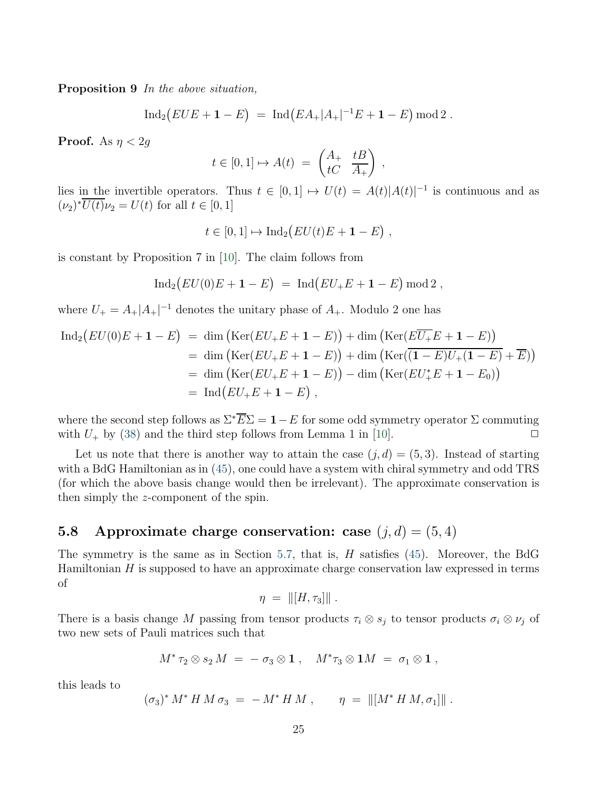Proposition 9 In the above situation,

$$
\operatorname{Ind}_2(EUE + \mathbf{1} - E) = \operatorname{Ind}(EA_+|A_+|^{-1}E + \mathbf{1} - E) \operatorname{mod} 2.
$$

**Proof.** As  $\eta < 2g$ 

$$
t \in [0,1] \mapsto A(t) = \begin{pmatrix} A_+ & tB \\ tC & A_+ \end{pmatrix} ,
$$

lies in the invertible operators. Thus  $t \in [0,1] \mapsto U(t) = A(t)|A(t)|^{-1}$  is continuous and as  $(\nu_2)^* U(t) \nu_2 = U(t)$  for all  $t \in [0, 1]$ 

$$
t\in[0,1]\mapsto \mathrm{Ind}_2\big(EU(t)E+\mathbf{1}-E\big)\;,
$$

is constant by Proposition 7 in [\[10\]](#page-31-1). The claim follows from

$$
Ind_2(EU(0)E + 1 - E) = Ind(EU_+E + 1 - E) mod 2,
$$

where  $U_{+} = A_{+}|A_{+}|^{-1}$  denotes the unitary phase of  $A_{+}$ . Modulo 2 one has

$$
\begin{aligned} \text{Ind}_2 \big( EU(0)E + \mathbf{1} - E \big) &= \dim \big( \text{Ker}(EU_+E + \mathbf{1} - E) \big) + \dim \big( \text{Ker}(E\overline{U_+}E + \mathbf{1} - E) \big) \\ &= \dim \big( \text{Ker}(EU_+E + \mathbf{1} - E) \big) + \dim \big( \text{Ker}(\overline{(\mathbf{1} - E)U_+ (\mathbf{1} - E)} + \overline{E}) \big) \\ &= \dim \big( \text{Ker}(EU_+E + \mathbf{1} - E) \big) - \dim \big( \text{Ker}(EU_+^*E + \mathbf{1} - E_0) \big) \\ &= \text{Ind} \big( EU_+E + \mathbf{1} - E \big) \;, \end{aligned}
$$

where the second step follows as  $\Sigma^* \overline{E} \Sigma = 1 - E$  for some odd symmetry operator  $\Sigma$  commuting with  $U_{\perp}$  by (38) and the third step follows from Lemma 1 in [10] with  $U_{+}$  by [\(38\)](#page-14-1) and the third step follows from Lemma 1 in [\[10\]](#page-31-1).

Let us note that there is another way to attain the case  $(j, d) = (5, 3)$ . Instead of starting with a BdG Hamiltonian as in [\(45\)](#page-23-0), one could have a system with chiral symmetry and odd TRS (for which the above basis change would then be irrelevant). The approximate conservation is then simply the z-component of the spin.

### 5.8 Approximate charge conservation: case  $(j, d) = (5, 4)$

The symmetry is the same as in Section [5.7,](#page-23-1) that is,  $H$  satisfies [\(45\)](#page-23-0). Moreover, the BdG Hamiltonian  $H$  is supposed to have an approximate charge conservation law expressed in terms of

$$
\eta = \| [H, \tau_3] \|.
$$

There is a basis change M passing from tensor products  $\tau_i \otimes s_j$  to tensor products  $\sigma_i \otimes \nu_j$  of two new sets of Pauli matrices such that

$$
M^*\tau_2\otimes s_2 M = -\sigma_3\otimes \mathbf{1}\ ,\quad M^*\tau_3\otimes \mathbf{1}M = \sigma_1\otimes \mathbf{1}\ ,
$$

this leads to

$$
(\sigma_3)^* M^* H M \sigma_3 = -M^* H M , \qquad \eta = ||[M^* H M, \sigma_1]||.
$$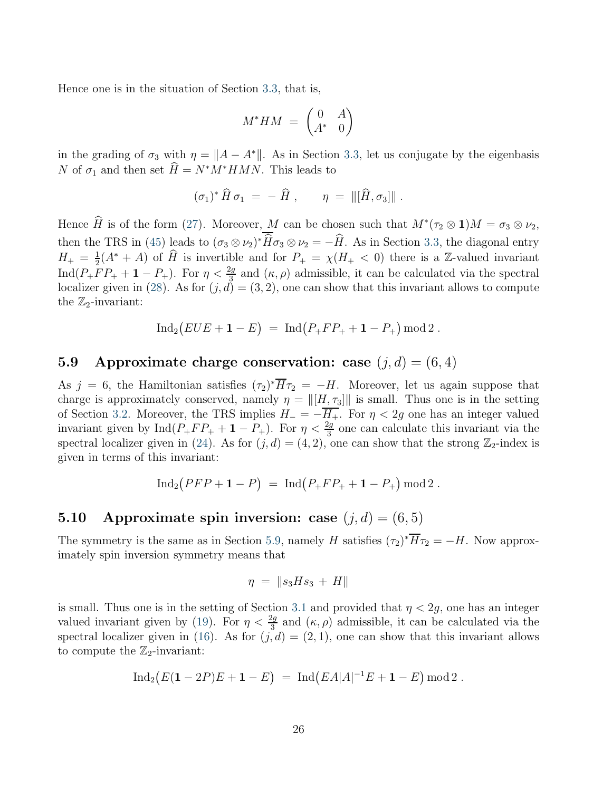Hence one is in the situation of Section [3.3,](#page-11-0) that is,

$$
M^*HM = \begin{pmatrix} 0 & A \\ A^* & 0 \end{pmatrix}
$$

in the grading of  $\sigma_3$  with  $\eta = ||A - A^*||$ . As in Section [3.3,](#page-11-0) let us conjugate by the eigenbasis N of  $\sigma_1$  and then set  $H = N^*M^*HMN$ . This leads to

$$
(\sigma_1)^* \,\widehat{H}\,\sigma_1\,=\,-\,\widehat{H}\,\,,\qquad \eta\,=\,\|[\widehat{H},\sigma_3]\|\,.
$$

Hence H is of the form [\(27\)](#page-11-3). Moreover, M can be chosen such that  $M^*(\tau_2 \otimes 1)M = \sigma_3 \otimes \nu_2$ , then the TRS in [\(45\)](#page-23-0) leads to  $(\sigma_3 \otimes \nu_2)^* H \sigma_3 \otimes \nu_2 = -H$ . As in Section [3.3,](#page-11-0) the diagonal entry  $H_{+} = \frac{1}{2}$  $\frac{1}{2}(A^* + A)$  of  $\widehat{H}$  is invertible and for  $P_+ = \chi(H_+ < 0)$  there is a Z-valued invariant Ind( $P_+FP_+ + 1 - P_+$ ). For  $\eta < \frac{2g}{3}$  and  $(\kappa, \rho)$  admissible, it can be calculated via the spectral localizer given in [\(28\)](#page-11-2). As for  $(j, d) = (3, 2)$ , one can show that this invariant allows to compute the  $\mathbb{Z}_2$ -invariant:

$$
Ind_2(EUE + 1 - E) = Ind(P_+ FP_+ + 1 - P_+) mod 2.
$$

### <span id="page-25-0"></span>5.9 Approximate charge conservation: case  $(j, d) = (6, 4)$

As  $j = 6$ , the Hamiltonian satisfies  $(\tau_2)^* H \tau_2 = -H$ . Moreover, let us again suppose that charge is approximately conserved, namely  $\eta = ||[H, \tau_3]||$  is small. Thus one is in the setting of Section [3.2.](#page-9-0) Moreover, the TRS implies  $H_- = -\overline{H_+}$ . For  $\eta < 2g$  one has an integer valued invariant given by  $\text{Ind}(P_+FP_+ + 1 - P_+)$ . For  $\eta < \frac{2g}{3}$  one can calculate this invariant via the spectral localizer given in [\(24\)](#page-10-4). As for  $(j, d) = (4, 2)$ , one can show that the strong  $\mathbb{Z}_2$ -index is given in terms of this invariant:

$$
\operatorname{Ind}_2\bigl( PFP + \mathbf{1} - P \bigr) \;=\; \operatorname{Ind}\bigl( P_+FP_+ + \mathbf{1} - P_+ \bigr) \operatorname{mod} 2 \;.
$$

### 5.10 Approximate spin inversion: case  $(j, d) = (6, 5)$

The symmetry is the same as in Section [5.9,](#page-25-0) namely H satisfies  $(\tau_2)^* H \tau_2 = -H$ . Now approximately spin inversion symmetry means that

$$
\eta = \|s_3 H s_3 + H\|
$$

is small. Thus one is in the setting of Section [3.1](#page-8-0) and provided that  $\eta < 2q$ , one has an integer valued invariant given by [\(19\)](#page-9-3). For  $\eta < \frac{2g}{3}$  and  $(\kappa, \rho)$  admissible, it can be calculated via the spectral localizer given in [\(16\)](#page-8-2). As for  $(j, d) = (2, 1)$ , one can show that this invariant allows to compute the  $\mathbb{Z}_2$ -invariant:

$$
\operatorname{Ind}_2(E(1-2P)E + 1 - E) = \operatorname{Ind}(EA|A|^{-1}E + 1 - E) \operatorname{mod} 2.
$$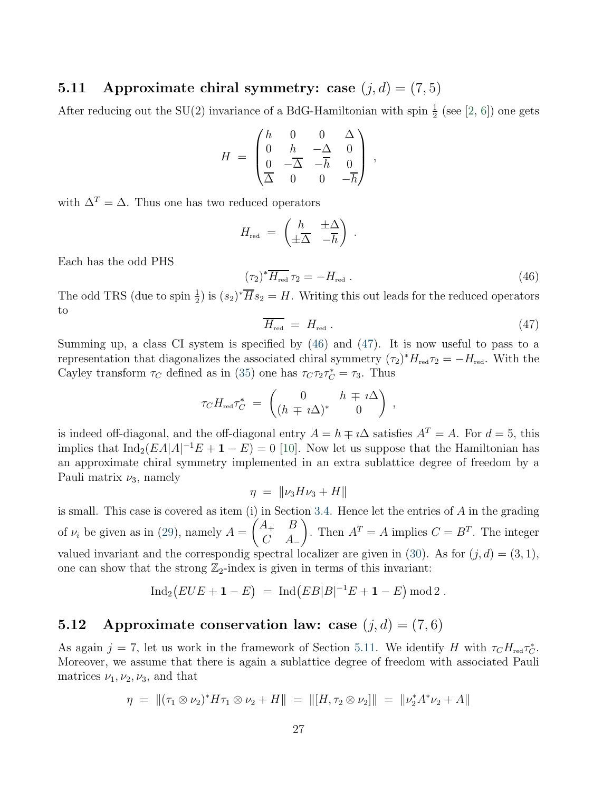#### <span id="page-26-2"></span>5.11 Approximate chiral symmetry: case  $(i, d) = (7, 5)$

After reducing out the SU(2) invariance of a BdG-Hamiltonian with spin  $\frac{1}{2}$  (see [\[2,](#page-30-5) [6\]](#page-30-6)) one gets

$$
H = \begin{pmatrix} h & 0 & 0 & \Delta \\ 0 & h & -\Delta & 0 \\ 0 & -\overline{\Delta} & -\overline{h} & 0 \\ \overline{\Delta} & 0 & 0 & -\overline{h} \end{pmatrix} ,
$$

with  $\Delta^T = \Delta$ . Thus one has two reduced operators

$$
H_{\rm red} = \begin{pmatrix} h & \pm \Delta \\ \pm \overline{\Delta} & -\overline{h} \end{pmatrix} .
$$

Each has the odd PHS

<span id="page-26-0"></span>
$$
(\tau_2)^* \overline{H_{\text{red}}} \,\tau_2 = -H_{\text{red}} \,. \tag{46}
$$

The odd TRS (due to spin  $\frac{1}{2}$ ) is  $(s_2)^* \overline{H} s_2 = H$ . Writing this out leads for the reduced operators to

<span id="page-26-1"></span>
$$
\overline{H_{\rm red}} = H_{\rm red} \ . \tag{47}
$$

Summing up, a class CI system is specified by [\(46\)](#page-26-0) and [\(47\)](#page-26-1). It is now useful to pass to a representation that diagonalizes the associated chiral symmetry  $(\tau_2)^* H_{\text{red}} \tau_2 = -H_{\text{red}}$ . With the Cayley transform  $\tau_C$  defined as in [\(35\)](#page-13-2) one has  $\tau_C \tau_2 \tau_C^* = \tau_3$ . Thus

$$
\tau_C H_{\text{red}} \tau_C^* = \begin{pmatrix} 0 & h \mp i\Delta \\ (h \mp i\Delta)^* & 0 \end{pmatrix},
$$

is indeed off-diagonal, and the off-diagonal entry  $A = h \mp i\Delta$  satisfies  $A<sup>T</sup> = A$ . For  $d = 5$ , this implies that  $\text{Ind}_2(EA|A|^{-1}E + \mathbf{1} - E) = 0$  [\[10\]](#page-31-1). Now let us suppose that the Hamiltonian has an approximate chiral symmetry implemented in an extra sublattice degree of freedom by a Pauli matrix  $\nu_3$ , namely

$$
\eta = \|\nu_3 H \nu_3 + H\|
$$

is small. This case is covered as item (i) in Section [3.4.](#page-12-0) Hence let the entries of  $A$  in the grading of  $\nu_i$  be given as in [\(29\)](#page-12-2), namely  $A =$  $\int A_+$  B  $C$   $A_{-}$  $\overline{ }$ . Then  $A^T = A$  implies  $C = B^T$ . The integer valued invariant and the correspondig spectral localizer are given in [\(30\)](#page-12-3). As for  $(j, d) = (3, 1)$ , one can show that the strong  $\mathbb{Z}_2$ -index is given in terms of this invariant:

$$
Ind_2(EUE + 1 - E) = Ind(EB|B|^{-1}E + 1 - E) mod 2.
$$

### 5.12 Approximate conservation law: case  $(j, d) = (7, 6)$

As again  $j = 7$ , let us work in the framework of Section [5.11.](#page-26-2) We identify H with  $\tau_C H_{\text{red}} \tau_C^*$ . Moreover, we assume that there is again a sublattice degree of freedom with associated Pauli matrices  $\nu_1, \nu_2, \nu_3$ , and that

$$
\eta = \| (\tau_1 \otimes \nu_2)^* H \tau_1 \otimes \nu_2 + H \| = \| [H, \tau_2 \otimes \nu_2] \| = \| \nu_2^* A^* \nu_2 + A \|
$$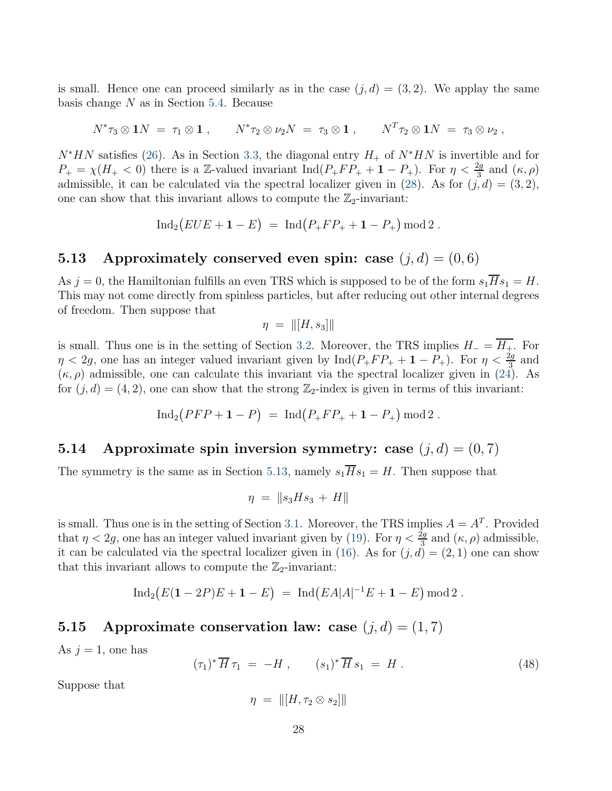is small. Hence one can proceed similarly as in the case  $(i, d) = (3, 2)$ . We applay the same basis change  $N$  as in Section [5.4.](#page-20-0) Because

$$
N^*\tau_3\otimes 1N\;=\;\tau_1\otimes 1\;,\qquad N^*\tau_2\otimes \nu_2N\;=\;\tau_3\otimes 1\;,\qquad N^T\tau_2\otimes 1N\;=\;\tau_3\otimes \nu_2\;,\qquad
$$

 $N^*HN$  satisfies [\(26\)](#page-11-1). As in Section [3.3,](#page-11-0) the diagonal entry  $H_+$  of  $N^*HN$  is invertible and for  $P_+ = \chi(H_+ < 0)$  there is a Z-valued invariant  $\text{Ind}(P_+FP_+ + 1 - P_+)$ . For  $\eta < \frac{2g}{3}$  and  $(\kappa, \rho)$ admissible, it can be calculated via the spectral localizer given in [\(28\)](#page-11-2). As for  $(j, d) = (3, 2)$ , one can show that this invariant allows to compute the  $\mathbb{Z}_2$ -invariant:

$$
\operatorname{Ind}_2(EUE + \mathbf{1} - E) = \operatorname{Ind}(P_+ FP_+ + \mathbf{1} - P_+) \operatorname{mod} 2.
$$

#### <span id="page-27-0"></span>5.13 Approximately conserved even spin: case  $(j, d) = (0, 6)$

As  $j = 0$ , the Hamiltonian fulfills an even TRS which is supposed to be of the form  $s_1\overline{H}s_1 = H$ . This may not come directly from spinless particles, but after reducing out other internal degrees of freedom. Then suppose that

$$
\eta = \| [H, s_3] \|
$$

is small. Thus one is in the setting of Section [3.2.](#page-9-0) Moreover, the TRS implies  $H_ = \overline{H_+}$ . For  $\eta < 2g$ , one has an integer valued invariant given by  $\text{Ind}(P_+FP_+ + 1 - P_+)$ . For  $\eta < \frac{2g}{3}$  and  $(\kappa, \rho)$  admissible, one can calculate this invariant via the spectral localizer given in [\(24\)](#page-10-4). As for  $(j, d) = (4, 2)$ , one can show that the strong  $\mathbb{Z}_2$ -index is given in terms of this invariant:

$$
\operatorname{Ind}_2\bigl( PFP + \mathbf{1} - P \bigr) \;=\; \operatorname{Ind}\bigl( P_+FP_+ + \mathbf{1} - P_+ \bigr) \, \operatorname{mod} 2 \; .
$$

### 5.14 Approximate spin inversion symmetry: case  $(j, d) = (0, 7)$

The symmetry is the same as in Section [5.13,](#page-27-0) namely  $s_1\overline{H}s_1 = H$ . Then suppose that

$$
\eta = \|s_3 H s_3 + H\|
$$

is small. Thus one is in the setting of Section [3.1.](#page-8-0) Moreover, the TRS implies  $A = A<sup>T</sup>$ . Provided that  $\eta < 2g$ , one has an integer valued invariant given by [\(19\)](#page-9-3). For  $\eta < \frac{2g}{3}$  and  $(\kappa, \rho)$  admissible, it can be calculated via the spectral localizer given in [\(16\)](#page-8-2). As for  $(j, d) = (2, 1)$  one can show that this invariant allows to compute the  $\mathbb{Z}_2$ -invariant:

$$
\operatorname{Ind}_2(E(1-2P)E + 1 - E) = \operatorname{Ind}(EA|A|^{-1}E + 1 - E) \operatorname{mod} 2.
$$

#### 5.15 Approximate conservation law: case  $(j, d) = (1, 7)$

As  $j = 1$ , one has

<span id="page-27-1"></span>
$$
(\tau_1)^* \overline{H} \, \tau_1 \ = \ -H \ , \qquad (s_1)^* \overline{H} \, s_1 \ = \ H \ . \tag{48}
$$

Suppose that

$$
\eta = \|[H, \tau_2 \otimes s_2]\|
$$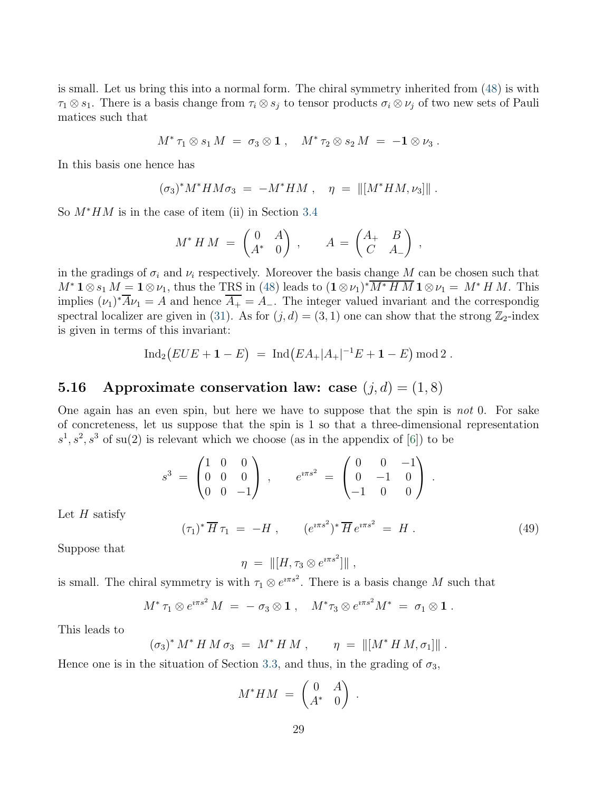is small. Let us bring this into a normal form. The chiral symmetry inherited from [\(48\)](#page-27-1) is with  $\tau_1 \otimes s_1$ . There is a basis change from  $\tau_i \otimes s_j$  to tensor products  $\sigma_i \otimes \nu_j$  of two new sets of Pauli matices such that

$$
M^* \tau_1 \otimes s_1 M = \sigma_3 \otimes \mathbf{1} , \quad M^* \tau_2 \otimes s_2 M = -\mathbf{1} \otimes \nu_3 .
$$

In this basis one hence has

$$
(\sigma_3)^* M^* H M \sigma_3 = -M^* H M , \quad \eta = ||[M^* H M, \nu_3]||.
$$

So  $M^*HM$  is in the case of item (ii) in Section [3.4](#page-12-0)

$$
M^*HM = \begin{pmatrix} 0 & A \\ A^* & 0 \end{pmatrix}, \qquad A = \begin{pmatrix} A_+ & B \\ C & A_- \end{pmatrix},
$$

in the gradings of  $\sigma_i$  and  $\nu_i$  respectively. Moreover the basis change M can be chosen such that  $M^*$  1⊗s<sub>1</sub>  $M = 1 \otimes \nu_1$ , thus the TRS in [\(48\)](#page-27-1) leads to  $(1 \otimes \nu_1)^* M^* H M 1 \otimes \nu_1 = M^* H M$ . This implies  $(\nu_1)^* A \nu_1 = A$  and hence  $A_+ = A_-$ . The integer valued invariant and the correspondig spectral localizer are given in [\(31\)](#page-12-1). As for  $(j, d) = (3, 1)$  one can show that the strong  $\mathbb{Z}_2$ -index is given in terms of this invariant:

$$
\operatorname{Ind}_2\big(EUE + \mathbf{1} - E\big) = \operatorname{Ind}\big(EA_+|A_+|^{-1}E + \mathbf{1} - E\big) \operatorname{mod} 2.
$$

### 5.16 Approximate conservation law: case  $(j, d) = (1, 8)$

One again has an even spin, but here we have to suppose that the spin is not 0. For sake of concreteness, let us suppose that the spin is 1 so that a three-dimensional representation  $s<sup>1</sup>, s<sup>2</sup>, s<sup>3</sup>$  of su(2) is relevant which we choose (as in the appendix of [\[6\]](#page-30-6)) to be

$$
s^3 = \begin{pmatrix} 1 & 0 & 0 \\ 0 & 0 & 0 \\ 0 & 0 & -1 \end{pmatrix} , \qquad e^{i\pi s^2} = \begin{pmatrix} 0 & 0 & -1 \\ 0 & -1 & 0 \\ -1 & 0 & 0 \end{pmatrix} .
$$

Let  $H$  satisfy

<span id="page-28-0"></span>
$$
(\tau_1)^* \overline{H} \tau_1 = -H , \qquad (e^{i\pi s^2})^* \overline{H} e^{i\pi s^2} = H . \qquad (49)
$$

Suppose that

$$
\eta = \| [H, \tau_3 \otimes e^{i \pi s^2}] \|,
$$

is small. The chiral symmetry is with  $\tau_1 \otimes e^{i\pi s^2}$ . There is a basis change M such that

$$
M^* \tau_1 \otimes e^{i \pi s^2} M = - \sigma_3 \otimes \mathbf{1} , \quad M^* \tau_3 \otimes e^{i \pi s^2} M^* = \sigma_1 \otimes \mathbf{1} .
$$

This leads to

$$
(\sigma_3)^* M^* H M \sigma_3 = M^* H M , \qquad \eta = ||[M^* H M, \sigma_1]||.
$$

Hence one is in the situation of Section [3.3,](#page-11-0) and thus, in the grading of  $\sigma_3$ ,

$$
M^*HM = \begin{pmatrix} 0 & A \\ A^* & 0 \end{pmatrix}.
$$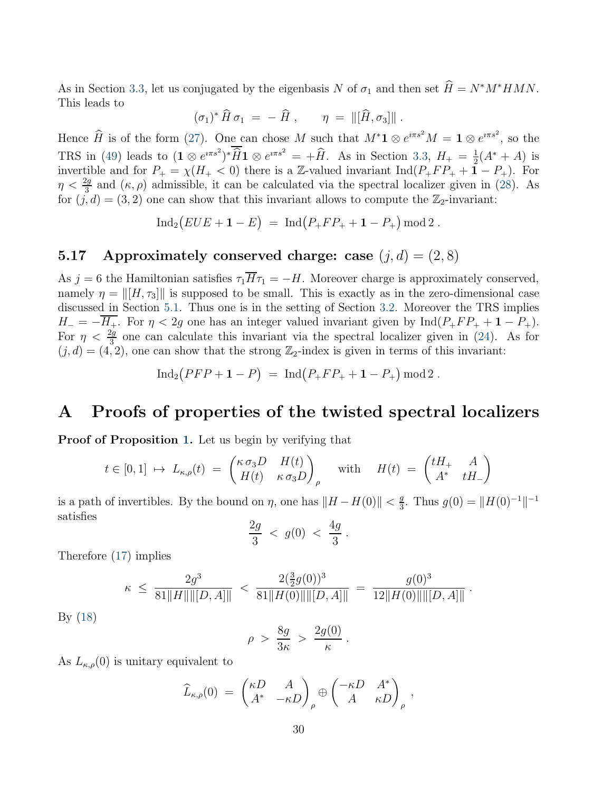As in Section [3.3,](#page-11-0) let us conjugated by the eigenbasis N of  $\sigma_1$  and then set  $\hat{H} = N^*M^*HMN$ . This leads to

$$
(\sigma_1)^* \,\widehat{H}\,\sigma_1 \;=\; -\,\widehat{H}\;,\qquad \eta \;=\; \Vert[\widehat{H},\sigma_3]\Vert\;.
$$

Hence  $\widehat{H}$  is of the form [\(27\)](#page-11-3). One can chose M such that  $M^*{\bf 1} \otimes e^{i\pi s^2}M = {\bf 1} \otimes e^{i\pi s^2}$ , so the TRS in [\(49\)](#page-28-0) leads to  $(\mathbf{1} \otimes e^{i\pi s^2})^* \widehat{H} \mathbf{1} \otimes e^{i\pi s^2} = +\widehat{H}$ . As in Section [3.3,](#page-11-0)  $H_+ = \frac{1}{2}$  $\frac{1}{2}(A^* + A)$  is invertible and for  $P_+ = \chi(H_+ < 0)$  there is a Z-valued invariant  $\text{Ind}(P_+FP_+ + \mathbf{1} - P_+)$ . For  $\eta < \frac{2g}{3}$  and  $(\kappa, \rho)$  admissible, it can be calculated via the spectral localizer given in [\(28\)](#page-11-2). As for  $(j, d) = (3, 2)$  one can show that this invariant allows to compute the  $\mathbb{Z}_2$ -invariant:

 $\operatorname{Ind}_2\big(EUE + \mathbf{1} - E\big) = \operatorname{Ind}\big(P_+FP_+ + \mathbf{1} - P_+\big) \operatorname{mod} 2.$ 

## 5.17 Approximately conserved charge: case  $(j, d) = (2, 8)$

As j = 6 the Hamiltonian satisfies  $\tau_1 \overline{H} \tau_1 = -H$ . Moreover charge is approximately conserved, namely  $\eta = ||[H, \tau_3]||$  is supposed to be small. This is exactly as in the zero-dimensional case discussed in Section [5.1.](#page-17-0) Thus one is in the setting of Section [3.2.](#page-9-0) Moreover the TRS implies  $H_- = -\overline{H_+}$ . For  $\eta < 2g$  one has an integer valued invariant given by Ind( $P_+FP_+ + 1 - P_+$ ). For  $\eta < \frac{2g}{3}$  one can calculate this invariant via the spectral localizer given in [\(24\)](#page-10-4). As for  $(j, d) = (4, 2)$ , one can show that the strong  $\mathbb{Z}_2$ -index is given in terms of this invariant:

$$
Ind_2( PFP + 1 - P) = Ind (P_+FP_+ + 1 - P_+) mod 2 .
$$

### <span id="page-29-0"></span>A Proofs of properties of the twisted spectral localizers

Proof of Proposition [1.](#page-8-3) Let us begin by verifying that

$$
t \in [0,1] \ \mapsto \ L_{\kappa,\rho}(t) \ = \ \begin{pmatrix} \kappa \, \sigma_3 D & H(t) \\ H(t) & \kappa \, \sigma_3 D \end{pmatrix}_{\rho} \quad \text{with} \quad H(t) \ = \ \begin{pmatrix} tH_+ & A \\ A^* & tH_- \end{pmatrix}
$$

is a path of invertibles. By the bound on  $\eta$ , one has  $||H - H(0)|| < \frac{g}{3}$  $\frac{g}{3}$ . Thus  $g(0) = ||H(0)^{-1}||^{-1}$ satisfies

$$
\frac{2g}{3} \; < \; g(0) \; < \; \frac{4g}{3} \; .
$$

Therefore [\(17\)](#page-9-1) implies

$$
\kappa \ \leq \ \frac{2g^3}{81\|H\| \| [D,A] \|} \ < \ \frac{2(\frac{3}{2}g(0))^3}{81\|H(0)\| \| [D,A] \|} \ = \ \frac{g(0)^3}{12\|H(0)\| \| [D,A] \|} \ .
$$

By [\(18\)](#page-9-2)

$$
\rho\;>\;\frac{8g}{3\kappa}\;>\;\frac{2g(0)}{\kappa}\;.
$$

As  $L_{\kappa,\rho}(0)$  is unitary equivalent to

$$
\widehat{L}_{\kappa,\rho}(0) = \begin{pmatrix} \kappa D & A \\ A^* & -\kappa D \end{pmatrix}_{\rho} \oplus \begin{pmatrix} -\kappa D & A^* \\ A & \kappa D \end{pmatrix}_{\rho},
$$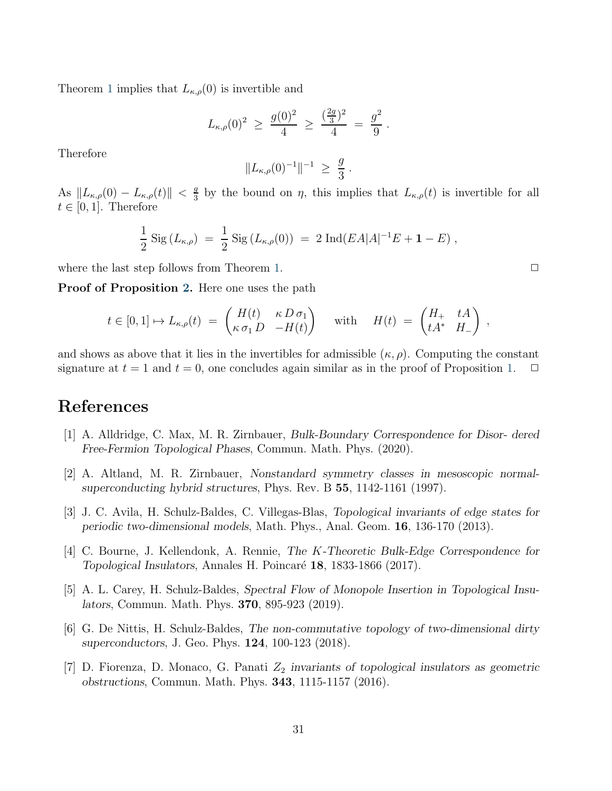Theorem [1](#page-6-0) implies that  $L_{\kappa,\rho}(0)$  is invertible and

$$
L_{\kappa,\rho}(0)^2 \ \geq \ \frac{g(0)^2}{4} \ \geq \ \frac{(\frac{2g}{3})^2}{4} \ = \ \frac{g^2}{9} \ .
$$

Therefore

$$
||L_{\kappa,\rho}(0)^{-1}||^{-1} \ \geq \ \frac{g}{3} \ .
$$

As  $\Vert L_{\kappa,\rho}(0) - L_{\kappa,\rho}(t) \Vert < \frac{g}{3}$  $\frac{g}{3}$  by the bound on  $\eta$ , this implies that  $L_{\kappa,\rho}(t)$  is invertible for all  $t \in [0, 1]$ . Therefore

$$
\frac{1}{2} \operatorname{Sig} (L_{\kappa,\rho}) = \frac{1}{2} \operatorname{Sig} (L_{\kappa,\rho}(0)) = 2 \operatorname{Ind} (EA|A|^{-1}E + 1 - E),
$$

where the last step follows from Theorem [1.](#page-6-0)  $\Box$ 

Proof of Proposition [2.](#page-10-2) Here one uses the path

$$
t \in [0,1] \mapsto L_{\kappa,\rho}(t) = \begin{pmatrix} H(t) & \kappa D \sigma_1 \\ \kappa \sigma_1 D & -H(t) \end{pmatrix} \quad \text{with} \quad H(t) = \begin{pmatrix} H_+ & tA \\ tA^* & H_- \end{pmatrix},
$$

and shows as above that it lies in the invertibles for admissible  $(\kappa, \rho)$ . Computing the constant signature at  $t = 1$  and  $t = 0$ , one concludes again similar as in the proof of Proposition [1.](#page-8-3)

# <span id="page-30-2"></span>References

- <span id="page-30-5"></span>[1] A. Alldridge, C. Max, M. R. Zirnbauer, Bulk-Boundary Correspondence for Disor- dered Free-Fermion Topological Phases, Commun. Math. Phys. (2020).
- <span id="page-30-1"></span>[2] A. Altland, M. R. Zirnbauer, Nonstandard symmetry classes in mesoscopic normalsuperconducting hybrid structures, Phys. Rev. B 55, 1142-1161 (1997).
- <span id="page-30-0"></span>[3] J. C. Avila, H. Schulz-Baldes, C. Villegas-Blas, Topological invariants of edge states for periodic two-dimensional models, Math. Phys., Anal. Geom. 16, 136-170 (2013).
- [4] C. Bourne, J. Kellendonk, A. Rennie, The K-Theoretic Bulk-Edge Correspondence for Topological Insulators, Annales H. Poincaré 18, 1833-1866 (2017).
- <span id="page-30-4"></span>[5] A. L. Carey, H. Schulz-Baldes, Spectral Flow of Monopole Insertion in Topological Insulators, Commun. Math. Phys. 370, 895-923 (2019).
- <span id="page-30-6"></span>[6] G. De Nittis, H. Schulz-Baldes, The non-commutative topology of two-dimensional dirty superconductors, J. Geo. Phys. 124, 100-123 (2018).
- <span id="page-30-3"></span>[7] D. Fiorenza, D. Monaco, G. Panati  $Z_2$  invariants of topological insulators as geometric obstructions, Commun. Math. Phys. 343, 1115-1157 (2016).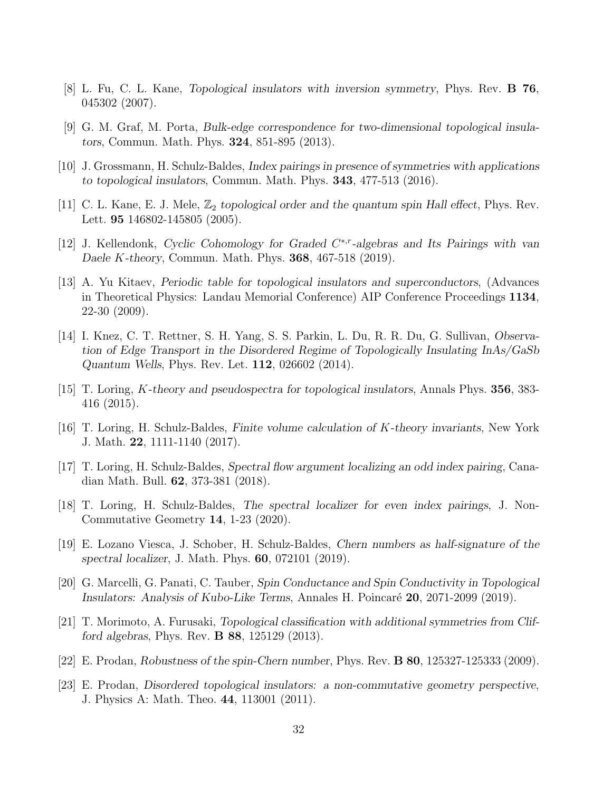- <span id="page-31-13"></span><span id="page-31-2"></span>[8] L. Fu, C. L. Kane, Topological insulators with inversion symmetry, Phys. Rev. B 76, 045302 (2007).
- <span id="page-31-1"></span>[9] G. M. Graf, M. Porta, Bulk-edge correspondence for two-dimensional topological insulators, Commun. Math. Phys. 324, 851-895 (2013).
- <span id="page-31-8"></span>[10] J. Grossmann, H. Schulz-Baldes, Index pairings in presence of symmetries with applications to topological insulators, Commun. Math. Phys. 343, 477-513 (2016).
- [11] C. L. Kane, E. J. Mele,  $\mathbb{Z}_2$  topological order and the quantum spin Hall effect, Phys. Rev. Lett. 95 146802-145805 (2005).
- <span id="page-31-6"></span><span id="page-31-0"></span>[12] J. Kellendonk, Cyclic Cohomology for Graded C<sup>\*,r</sup>-algebras and Its Pairings with van Daele K-theory, Commun. Math. Phys. 368, 467-518 (2019).
- [13] A. Yu Kitaev, Periodic table for topological insulators and superconductors, (Advances in Theoretical Physics: Landau Memorial Conference) AIP Conference Proceedings 1134, 22-30 (2009).
- <span id="page-31-9"></span>[14] I. Knez, C. T. Rettner, S. H. Yang, S. S. Parkin, L. Du, R. R. Du, G. Sullivan, Observation of Edge Transport in the Disordered Regime of Topologically Insulating InAs/GaSb Quantum Wells, Phys. Rev. Let. 112, 026602 (2014).
- <span id="page-31-4"></span><span id="page-31-3"></span>[15] T. Loring, K-theory and pseudospectra for topological insulators, Annals Phys. 356, 383- 416 (2015).
- <span id="page-31-14"></span>[16] T. Loring, H. Schulz-Baldes, Finite volume calculation of K-theory invariants, New York J. Math. 22, 1111-1140 (2017).
- [17] T. Loring, H. Schulz-Baldes, Spectral flow argument localizing an odd index pairing, Canadian Math. Bull. 62, 373-381 (2018).
- <span id="page-31-5"></span>[18] T. Loring, H. Schulz-Baldes, The spectral localizer for even index pairings, J. Non-Commutative Geometry 14, 1-23 (2020).
- <span id="page-31-15"></span>[19] E. Lozano Viesca, J. Schober, H. Schulz-Baldes, Chern numbers as half-signature of the spectral localizer, J. Math. Phys. 60, 072101 (2019).
- <span id="page-31-12"></span><span id="page-31-7"></span>[20] G. Marcelli, G. Panati, C. Tauber, Spin Conductance and Spin Conductivity in Topological Insulators: Analysis of Kubo-Like Terms, Annales H. Poincaré 20, 2071-2099 (2019).
- [21] T. Morimoto, A. Furusaki, Topological classification with additional symmetries from Clifford algebras, Phys. Rev. B 88, 125129 (2013).
- <span id="page-31-11"></span><span id="page-31-10"></span>[22] E. Prodan, Robustness of the spin-Chern number, Phys. Rev. B 80, 125327-125333 (2009).
- [23] E. Prodan, Disordered topological insulators: a non-commutative geometry perspective, J. Physics A: Math. Theo. 44, 113001 (2011).